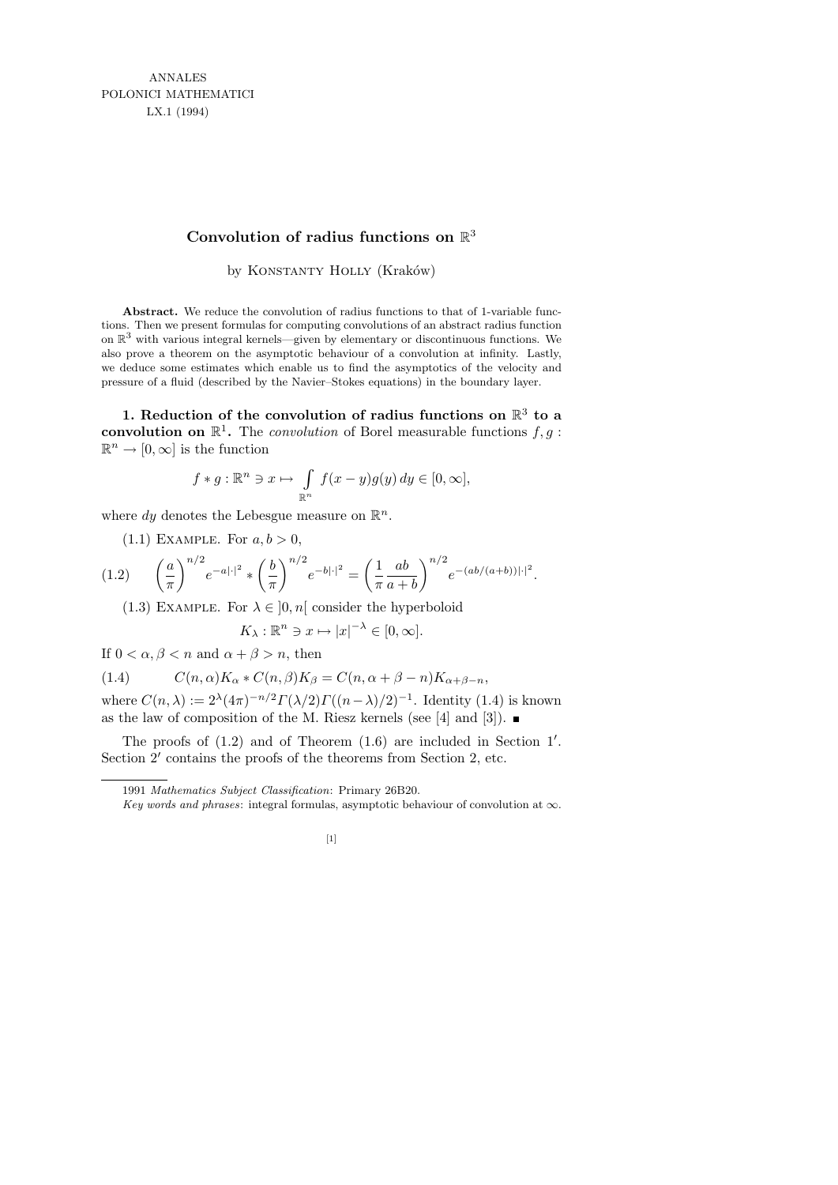# **Convolution of radius functions on** R 3

by KONSTANTY HOLLY (Kraków)

**Abstract.** We reduce the convolution of radius functions to that of 1-variable functions. Then we present formulas for computing convolutions of an abstract radius function on  $\mathbb{R}^3$  with various integral kernels—given by elementary or discontinuous functions. We also prove a theorem on the asymptotic behaviour of a convolution at infinity. Lastly, we deduce some estimates which enable us to find the asymptotics of the velocity and pressure of a fluid (described by the Navier–Stokes equations) in the boundary layer.

1. Reduction of the convolution of radius functions on  $\mathbb{R}^3$  to a convolution on  $\mathbb{R}^1$ . The *convolution* of Borel measurable functions  $f, g$ :  $\mathbb{R}^n \to [0, \infty]$  is the function

$$
f * g: \mathbb{R}^n \ni x \mapsto \int_{\mathbb{R}^n} f(x - y)g(y) dy \in [0, \infty],
$$

where dy denotes the Lebesgue measure on  $\mathbb{R}^n$ .

 $(1.1)$  EXAMPLE. For  $a, b > 0$ ,

$$
(1.2) \qquad \left(\frac{a}{\pi}\right)^{n/2} e^{-a|\cdot|^2} * \left(\frac{b}{\pi}\right)^{n/2} e^{-b|\cdot|^2} = \left(\frac{1}{\pi} \frac{ab}{a+b}\right)^{n/2} e^{-(ab/(a+b))|\cdot|^2}.
$$

(1.3) EXAMPLE. For  $\lambda \in [0, n]$  consider the hyperboloid

 $K_{\lambda}: \mathbb{R}^n \ni x \mapsto |x|^{-\lambda} \in [0, \infty].$ 

If  $0 < \alpha, \beta < n$  and  $\alpha + \beta > n$ , then

(1.4) 
$$
C(n,\alpha)K_{\alpha}*C(n,\beta)K_{\beta}=C(n,\alpha+\beta-n)K_{\alpha+\beta-n},
$$

where  $C(n, \lambda) := 2^{\lambda} (4\pi)^{-n/2} \Gamma(\lambda/2) \Gamma((n-\lambda)/2)^{-1}$ . Identity (1.4) is known as the law of composition of the M. Riesz kernels (see [4] and [3]).

The proofs of  $(1.2)$  and of Theorem  $(1.6)$  are included in Section 1'. Section 2' contains the proofs of the theorems from Section 2, etc.

*Key words and phrases*: integral formulas, asymptotic behaviour of convolution at *∞*.



<sup>1991</sup> *Mathematics Subject Classification*: Primary 26B20.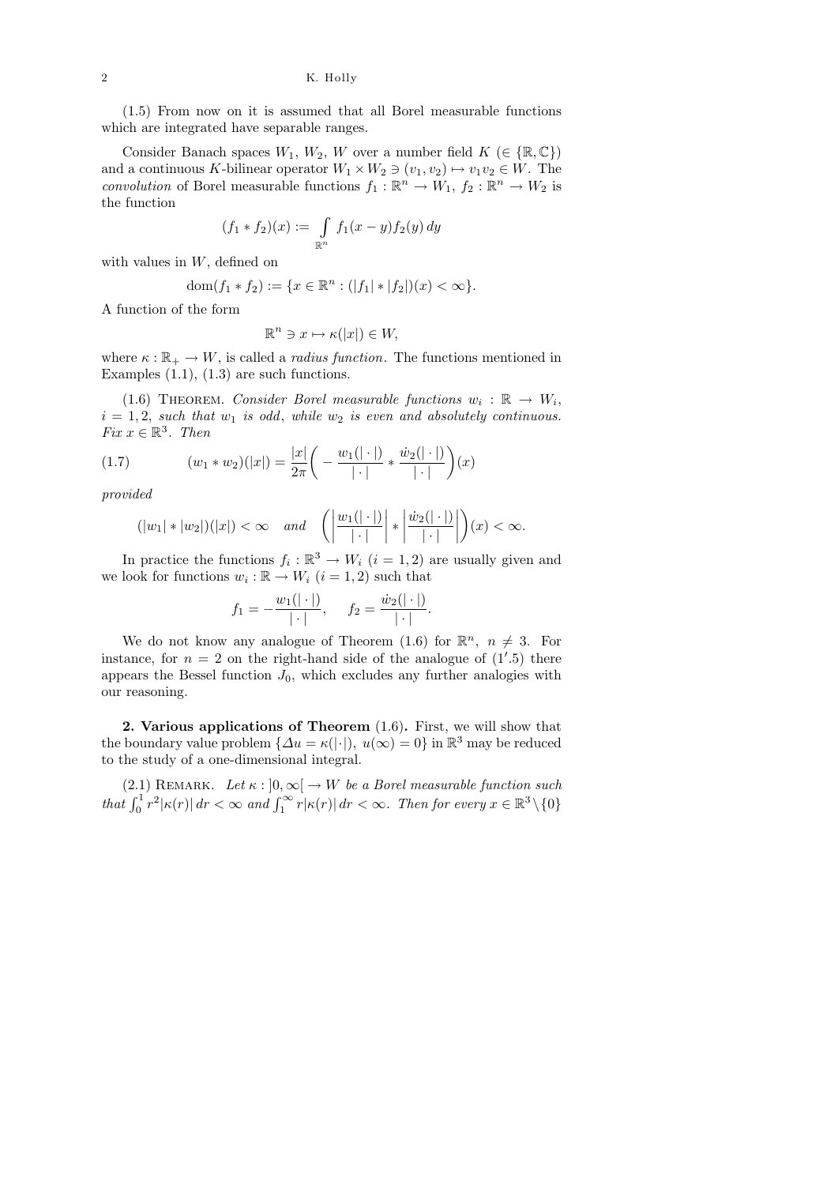(1.5) From now on it is assumed that all Borel measurable functions which are integrated have separable ranges.

Consider Banach spaces  $W_1, W_2, W$  over a number field  $K \in \{ \mathbb{R}, \mathbb{C} \}$ and a continuous K-bilinear operator  $W_1 \times W_2 \ni (v_1, v_2) \mapsto v_1v_2 \in W$ . The convolution of Borel measurable functions  $f_1 : \mathbb{R}^n \to W_1$ ,  $f_2 : \mathbb{R}^n \to W_2$  is the function

$$
(f_1 * f_2)(x) := \int_{\mathbb{R}^n} f_1(x - y) f_2(y) dy
$$

with values in  $W$ , defined on

dom
$$
(f_1 * f_2) := \{x \in \mathbb{R}^n : (|f_1| * |f_2|)(x) < \infty\}.
$$

A function of the form

$$
\mathbb{R}^n \ni x \mapsto \kappa(|x|) \in W,
$$

where  $\kappa : \mathbb{R}_+ \to W$ , is called a *radius function*. The functions mentioned in Examples  $(1.1)$ ,  $(1.3)$  are such functions.

(1.6) THEOREM. Consider Borel measurable functions  $w_i : \mathbb{R} \to W_i$ ,  $i = 1, 2$ , such that  $w_1$  is odd, while  $w_2$  is even and absolutely continuous. Fix  $x \in \mathbb{R}^3$ . Then

(1.7) 
$$
(w_1 * w_2)(|x|) = \frac{|x|}{2\pi} \left( -\frac{w_1(|\cdot|)}{|\cdot|} * \frac{\dot{w}_2(|\cdot|)}{|\cdot|} \right)(x)
$$

provided

$$
(|w_1| * |w_2|)(|x|) < \infty \quad and \quad \left(\left|\frac{w_1(|\cdot|)}{|\cdot|}\right| * \left|\frac{\dot{w}_2(|\cdot|)}{|\cdot|}\right|\right)(x) < \infty.
$$

In practice the functions  $f_i : \mathbb{R}^3 \to W_i$   $(i = 1, 2)$  are usually given and we look for functions  $w_i : \mathbb{R} \to W_i$   $(i = 1, 2)$  such that

$$
f_1 = -\frac{w_1(|\cdot|)}{|\cdot|}, \quad f_2 = \frac{\dot{w}_2(|\cdot|)}{|\cdot|}.
$$

We do not know any analogue of Theorem (1.6) for  $\mathbb{R}^n$ ,  $n \neq 3$ . For instance, for  $n = 2$  on the right-hand side of the analogue of  $(1'.5)$  there appears the Bessel function  $J_0$ , which excludes any further analogies with our reasoning.

2. Various applications of Theorem (1.6). First, we will show that the boundary value problem  $\{\Delta u = \kappa(|\cdot|), u(\infty) = 0\}$  in  $\mathbb{R}^3$  may be reduced to the study of a one-dimensional integral.

(2.1) REMARK. Let  $\kappa : ]0, \infty[ \rightarrow W$  be a Borel measurable function such that  $\int_0^1 r^2 |\kappa(r)| dr < \infty$  and  $\int_1^\infty r |\kappa(r)| dr < \infty$ . Then for every  $x \in \mathbb{R}^3 \setminus \{0\}$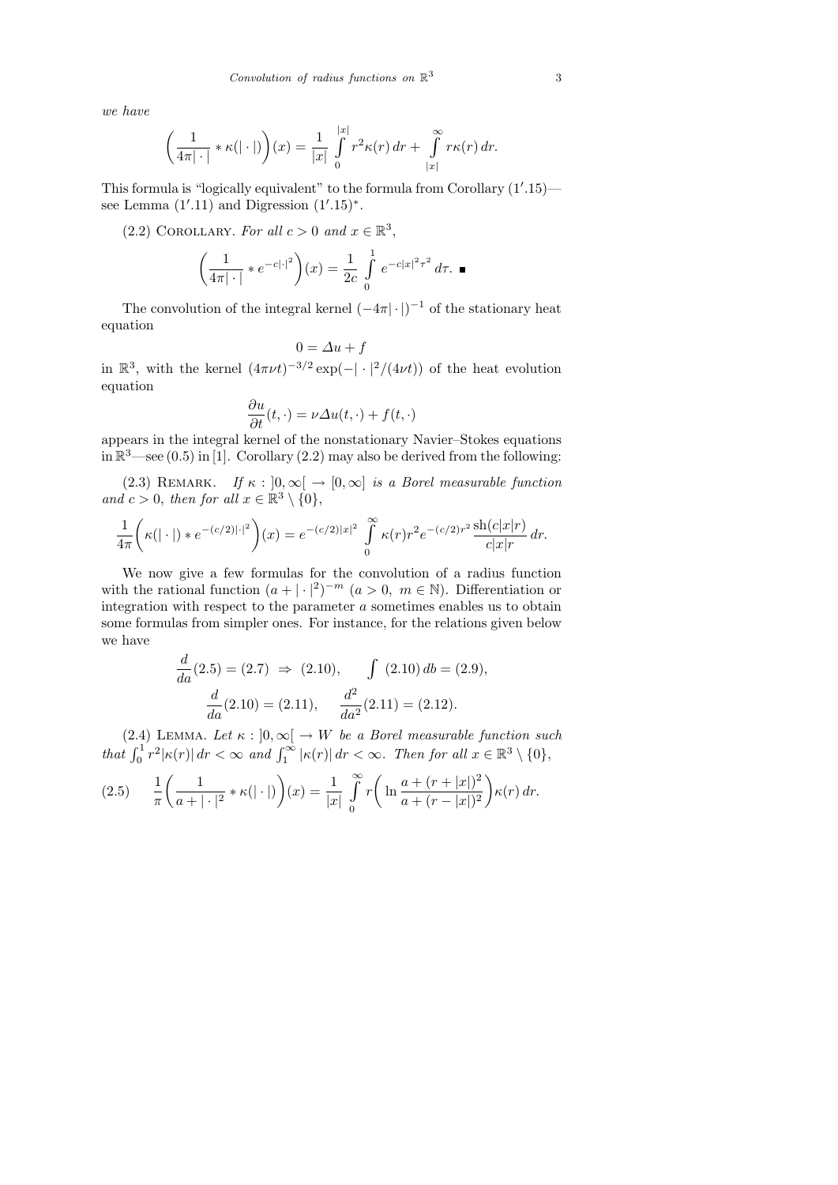we have

$$
\left(\frac{1}{4\pi|\cdot|} * \kappa(|\cdot|)\right)(x) = \frac{1}{|x|} \int_{0}^{|x|} r^{2} \kappa(r) dr + \int_{|x|}^{\infty} r \kappa(r) dr.
$$

This formula is "logically equivalent" to the formula from Corollary  $(1'.15)$  see Lemma  $(1'.11)$  and Digression  $(1'.15)^*$ .

(2.2) COROLLARY. For all  $c > 0$  and  $x \in \mathbb{R}^3$ ,

$$
\left(\frac{1}{4\pi|\cdot|} * e^{-c|\cdot|^2}\right)(x) = \frac{1}{2c} \int_{0}^{1} e^{-c|x|^2 \tau^2} d\tau. \blacksquare
$$

The convolution of the integral kernel  $(-4\pi|\cdot|)^{-1}$  of the stationary heat equation

$$
0=\varDelta u+f
$$

in  $\mathbb{R}^3$ , with the kernel  $(4\pi\nu t)^{-3/2}$  exp(-| · |<sup>2</sup>/(4 $\nu$ t)) of the heat evolution equation

$$
\frac{\partial u}{\partial t}(t,\cdot) = \nu \Delta u(t,\cdot) + f(t,\cdot)
$$

appears in the integral kernel of the nonstationary Navier–Stokes equations in  $\mathbb{R}^3$ —see (0.5) in [1]. Corollary (2.2) may also be derived from the following:

(2.3) REMARK. If  $\kappa : [0, \infty] \to [0, \infty]$  is a Borel measurable function and  $c > 0$ , then for all  $x \in \mathbb{R}^3 \setminus \{0\},\$ 

$$
\frac{1}{4\pi} \left( \kappa (|\cdot|) * e^{-(c/2)|\cdot|^2} \right) (x) = e^{-(c/2)|x|^2} \int_{0}^{\infty} \kappa(r) r^2 e^{-(c/2)r^2} \frac{\sh(c|x|r)}{c|x|r} dr.
$$

We now give a few formulas for the convolution of a radius function with the rational function  $(a+|\cdot|^2)^{-m}$   $(a>0, m \in \mathbb{N})$ . Differentiation or integration with respect to the parameter  $a$  sometimes enables us to obtain some formulas from simpler ones. For instance, for the relations given below we have

$$
\frac{d}{da}(2.5) = (2.7) \implies (2.10), \qquad \int (2.10) \, db = (2.9),
$$

$$
\frac{d}{da}(2.10) = (2.11), \qquad \frac{d^2}{da^2}(2.11) = (2.12).
$$

(2.4) LEMMA. Let  $\kappa : [0, \infty) \to W$  be a Borel measurable function such that  $\int_0^1 r^2 |\kappa(r)| dr < \infty$  and  $\int_1^\infty |\kappa(r)| dr < \infty$ . Then for all  $x \in \mathbb{R}^3 \setminus \{0\},$ 

$$
(2.5) \qquad \frac{1}{\pi} \left( \frac{1}{a+|\cdot|^2} * \kappa(|\cdot|) \right)(x) = \frac{1}{|x|} \int_0^\infty r \left( \ln \frac{a+(r+|x|)^2}{a+(r-|x|)^2} \right) \kappa(r) \, dr.
$$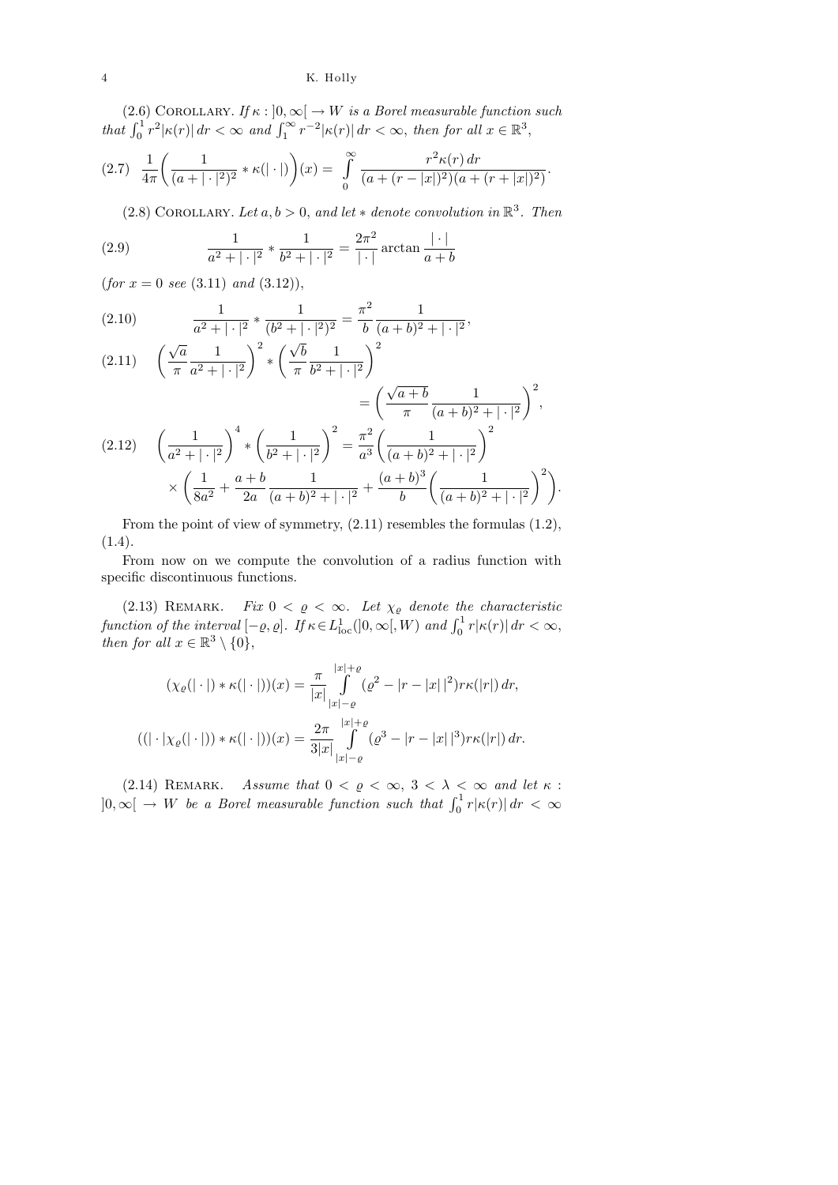(2.6) COROLLARY. If  $\kappa : \left] 0, \infty \right[ \rightarrow W$  is a Borel measurable function such that  $\int_0^1 r^2 |\kappa(r)| dr < \infty$  and  $\int_1^\infty r^{-2} |\kappa(r)| dr < \infty$ , then for all  $x \in \mathbb{R}^3$ ,

$$
(2.7) \frac{1}{4\pi} \left( \frac{1}{(a+|\cdot|^2)^2} * \kappa(|\cdot|) \right) (x) = \int_0^\infty \frac{r^2 \kappa(r) dr}{(a+(r-|x|)^2)(a+(r+|x|)^2)}.
$$

(2.8) COROLLARY. Let  $a, b > 0$ , and let  $*$  denote convolution in  $\mathbb{R}^3$ . Then

(2.9) 
$$
\frac{1}{a^2 + |\cdot|^2} * \frac{1}{b^2 + |\cdot|^2} = \frac{2\pi^2}{|\cdot|} \arctan \frac{|\cdot|}{a+b}
$$

 $(for x = 0 see (3.11) and (3.12)),$ 

(2.10) 
$$
\frac{1}{a^2 + |\cdot|^2} * \frac{1}{(b^2 + |\cdot|^2)^2} = \frac{\pi^2}{b} \frac{1}{(a+b)^2 + |\cdot|^2},
$$

 $2a$ 

$$
(2.11) \quad \left(\frac{\sqrt{a}}{\pi} \frac{1}{a^2 + |\cdot|^2}\right)^2 * \left(\frac{\sqrt{b}}{\pi} \frac{1}{b^2 + |\cdot|^2}\right)^2
$$
\n
$$
= \left(\frac{\sqrt{a+b}}{\pi} \frac{1}{(a+b)^2 + |\cdot|^2}\right)^2,
$$
\n
$$
(2.12) \quad \left(\frac{1}{a^2 + |\cdot|^2}\right)^4 * \left(\frac{1}{b^2 + |\cdot|^2}\right)^2 = \frac{\pi^2}{a^3} \left(\frac{1}{(a+b)^2 + |\cdot|^2}\right)^2
$$
\n
$$
\times \left(\frac{1}{8a^2} + \frac{a+b}{2a} \frac{1}{(a+b)^2 + |\cdot|^2} + \frac{(a+b)^3}{b} \left(\frac{1}{(a+b)^2 + |\cdot|^2}\right)^2\right).
$$

From the point of view of symmetry, (2.11) resembles the formulas (1.2), (1.4).

b

 $(a + b)^2 + | \cdot |^2$ 

From now on we compute the convolution of a radius function with specific discontinuous functions.

(2.13) REMARK. Fix  $0 < \varrho < \infty$ . Let  $\chi_{\varrho}$  denote the characteristic function of the interval  $[-\varrho, \varrho]$ . If  $\kappa \in L^1_{\text{loc}}([0, \infty[, W)$  and  $\int_0^1 r |\kappa(r)| dr < \infty$ , then for all  $x \in \mathbb{R}^3 \setminus \{0\},\$ 

$$
(\chi_{\varrho}(|\cdot|) * \kappa(|\cdot|))(x) = \frac{\pi}{|x|} \int_{|x|-\varrho}^{|x|+\varrho} (\varrho^2 - |r-|x||^2) r \kappa(|r|) dr,
$$
  

$$
((|\cdot|\chi_{\varrho}(|\cdot|)) * \kappa(|\cdot|))(x) = \frac{2\pi}{3|x|} \int_{|x|-\varrho}^{|x|+\varrho} (\varrho^3 - |r-|x||^3) r \kappa(|r|) dr.
$$

(2.14) REMARK. Assume that  $0 < \varrho < \infty$ ,  $3 < \lambda < \infty$  and let  $\kappa$ :  $]0,\infty[ \rightarrow W$  be a Borel measurable function such that  $\int_0^1 r|\kappa(r)| dr < \infty$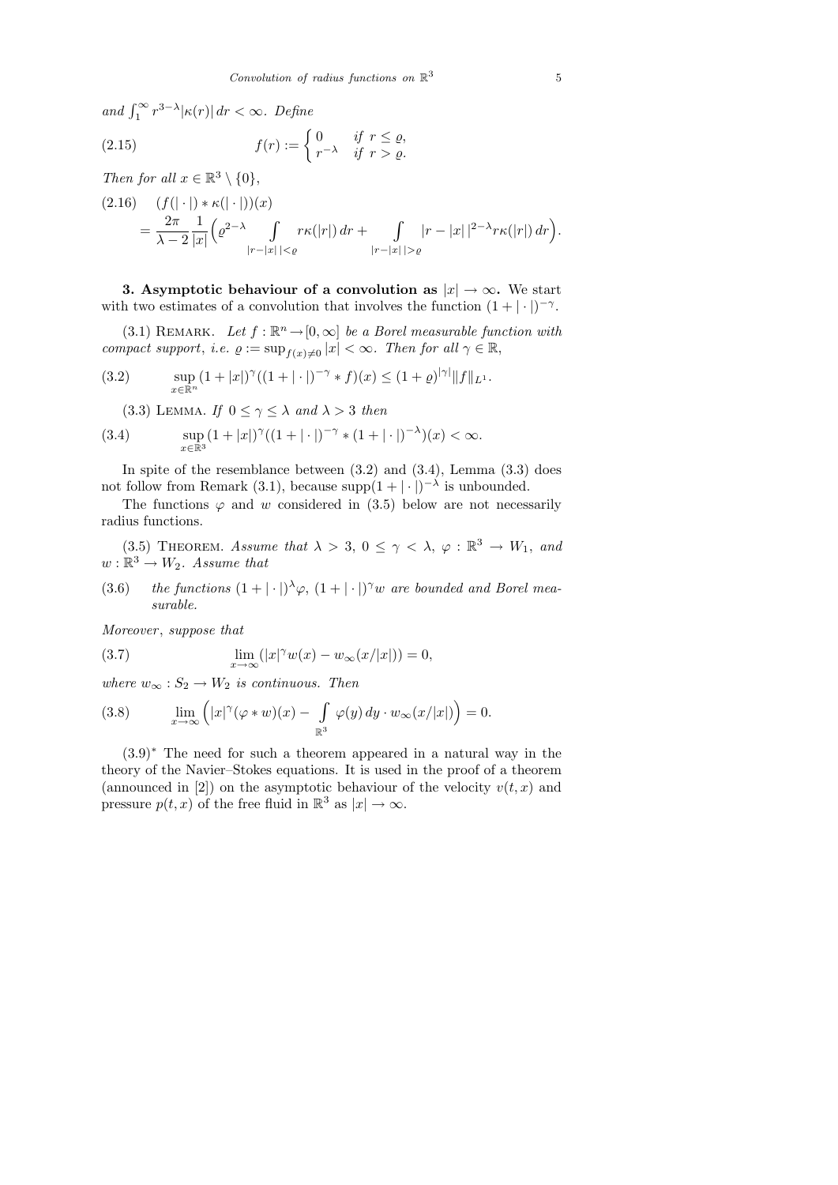and  $\int_1^\infty r^{3-\lambda} |\kappa(r)| dr < \infty$ . Define

(2.15) 
$$
f(r) := \begin{cases} 0 & \text{if } r \leq \varrho, \\ r^{-\lambda} & \text{if } r > \varrho. \end{cases}
$$

Then for all  $x \in \mathbb{R}^3 \setminus \{0\},\$ 

$$
(2.16) \quad (f(|\cdot|) * \kappa(|\cdot|))(x) = \frac{2\pi}{\lambda - 2} \frac{1}{|x|} \left( e^{2-\lambda} \int_{|r-|x||<\varrho} r\kappa(|r|) dr + \int_{|r-|x||>\varrho} |r-|x| |^{2-\lambda} r\kappa(|r|) dr \right).
$$

3. Asymptotic behaviour of a convolution as  $|x| \to \infty$ . We start with two estimates of a convolution that involves the function  $(1 + | \cdot |)^{-\gamma}$ .

(3.1) REMARK. Let  $f : \mathbb{R}^n \to [0, \infty]$  be a Borel measurable function with compact support, i.e.  $\varrho := \sup_{f(x)\neq 0} |x| < \infty$ . Then for all  $\gamma \in \mathbb{R}$ ,

(3.2) 
$$
\sup_{x \in \mathbb{R}^n} (1+|x|)^{\gamma} ((1+|\cdot|)^{-\gamma} * f)(x) \leq (1+\varrho)^{|\gamma|} \|f\|_{L^1}.
$$

(3.3) LEMMA. If  $0 \leq \gamma \leq \lambda$  and  $\lambda > 3$  then

(3.4) 
$$
\sup_{x \in \mathbb{R}^3} (1+|x|)^{\gamma} ((1+|\cdot|)^{-\gamma} * (1+|\cdot|)^{-\lambda})(x) < \infty.
$$

In spite of the resemblance between  $(3.2)$  and  $(3.4)$ , Lemma  $(3.3)$  does not follow from Remark (3.1), because supp $(1 + | \cdot |)^{-\lambda}$  is unbounded.

The functions  $\varphi$  and w considered in (3.5) below are not necessarily radius functions.

(3.5) THEOREM. Assume that  $\lambda > 3$ ,  $0 \leq \gamma < \lambda$ ,  $\varphi : \mathbb{R}^3 \to W_1$ , and  $w: \mathbb{R}^3 \to W_2$ . Assume that

(3.6) the functions  $(1+|\cdot|)^{\lambda}\varphi$ ,  $(1+|\cdot|)^{\gamma}w$  are bounded and Borel measurable.

Moreover, suppose that

(3.7) 
$$
\lim_{x \to \infty} (|x|^{\gamma} w(x) - w_{\infty}(x/|x|)) = 0,
$$

where  $w_{\infty}: S_2 \to W_2$  is continuous. Then

(3.8) 
$$
\lim_{x \to \infty} \left( |x|^{\gamma} (\varphi * w)(x) - \int_{\mathbb{R}^3} \varphi(y) dy \cdot w_{\infty}(x/|x|) \right) = 0.
$$

(3.9)<sup>∗</sup> The need for such a theorem appeared in a natural way in the theory of the Navier–Stokes equations. It is used in the proof of a theorem (announced in [2]) on the asymptotic behaviour of the velocity  $v(t, x)$  and pressure  $p(t, x)$  of the free fluid in  $\mathbb{R}^3$  as  $|x| \to \infty$ .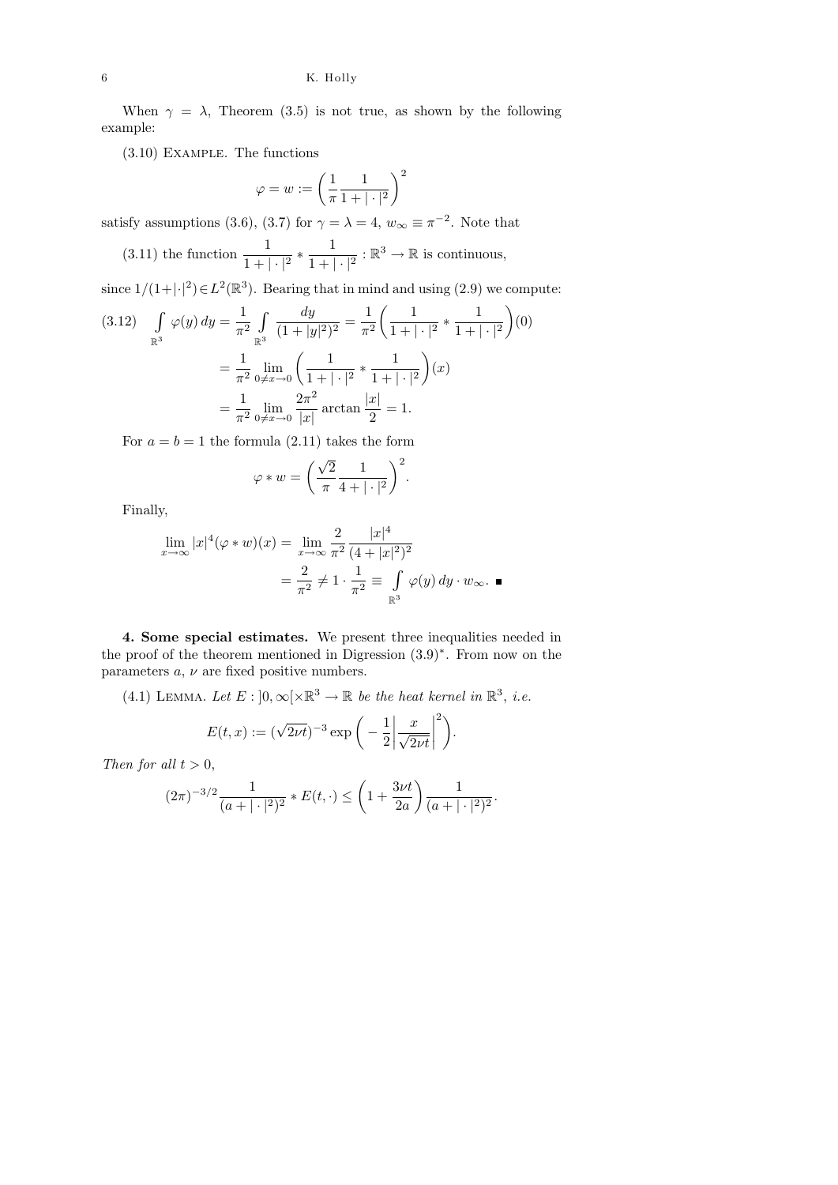#### 6 K. Holly

When  $\gamma = \lambda$ , Theorem (3.5) is not true, as shown by the following example:

(3.10) Example. The functions

$$
\varphi = w := \left(\frac{1}{\pi} \frac{1}{1 + |\cdot|^2}\right)^2
$$

satisfy assumptions (3.6), (3.7) for  $\gamma = \lambda = 4$ ,  $w_{\infty} \equiv \pi^{-2}$ . Note that

(3.11) the function  $\frac{1}{1+|\cdot|^2} * \frac{1}{1+|\cdot|^2}$  $\frac{1}{1+|\cdot|^2}:\mathbb{R}^3\to\mathbb{R}$  is continuous,

since  $1/(1+|\cdot|^2) \in L^2(\mathbb{R}^3)$ . Bearing that in mind and using (2.9) we compute:

$$
(3.12) \quad \int_{\mathbb{R}^3} \varphi(y) \, dy = \frac{1}{\pi^2} \int_{\mathbb{R}^3} \frac{dy}{(1+|y|^2)^2} = \frac{1}{\pi^2} \left( \frac{1}{1+|\cdot|^2} * \frac{1}{1+|\cdot|^2} \right)(0)
$$

$$
= \frac{1}{\pi^2} \lim_{0 \neq x \to 0} \left( \frac{1}{1+|\cdot|^2} * \frac{1}{1+|\cdot|^2} \right)(x)
$$

$$
= \frac{1}{\pi^2} \lim_{0 \neq x \to 0} \frac{2\pi^2}{|x|} \arctan \frac{|x|}{2} = 1.
$$

For  $a = b = 1$  the formula (2.11) takes the form

$$
\varphi * w = \left(\frac{\sqrt{2}}{\pi} \frac{1}{4 + |\cdot|^2}\right)^2.
$$

Finally,

$$
\lim_{x \to \infty} |x|^4 (\varphi * w)(x) = \lim_{x \to \infty} \frac{2}{\pi^2} \frac{|x|^4}{(4 + |x|^2)^2}
$$

$$
= \frac{2}{\pi^2} \neq 1 \cdot \frac{1}{\pi^2} \equiv \int_{\mathbb{R}^3} \varphi(y) \, dy \cdot w_{\infty}. \blacksquare
$$

4. Some special estimates. We present three inequalities needed in the proof of the theorem mentioned in Digression (3.9)<sup>∗</sup> . From now on the parameters  $a, \nu$  are fixed positive numbers.

(4.1) LEMMA. Let  $E: [0, \infty) \times \mathbb{R}^3 \to \mathbb{R}$  be the heat kernel in  $\mathbb{R}^3$ , i.e.

$$
E(t, x) := (\sqrt{2\nu t})^{-3} \exp\bigg(-\frac{1}{2} \bigg| \frac{x}{\sqrt{2\nu t}} \bigg|^2\bigg).
$$

Then for all  $t > 0$ ,

$$
(2\pi)^{-3/2}\frac{1}{(a+|\cdot|^2)^2} * E(t,\cdot) \le \left(1+\frac{3\nu t}{2a}\right)\frac{1}{(a+|\cdot|^2)^2}.
$$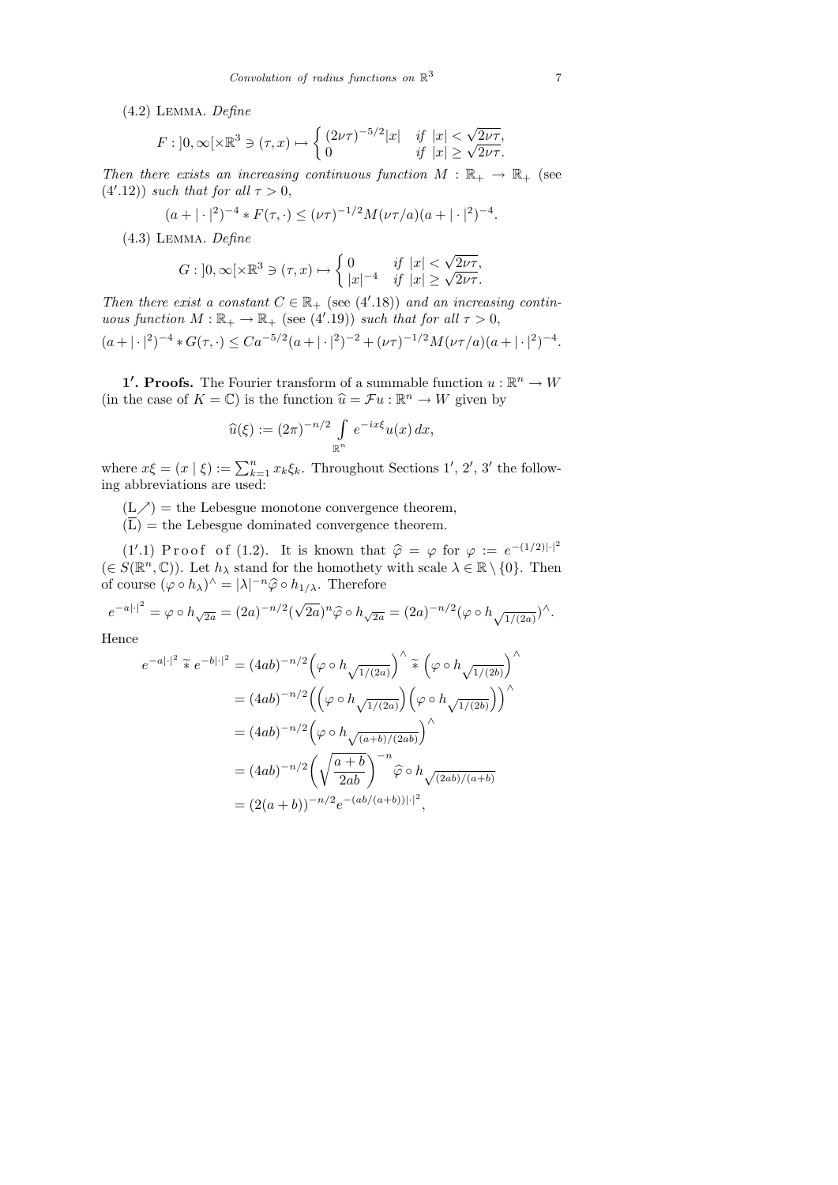(4.2) Lemma. Define

$$
F: \left]0, \infty\right[\times \mathbb{R}^3 \ni (\tau, x) \mapsto \begin{cases} (2\nu\tau)^{-5/2}|x| & \text{if } |x| < \sqrt{2\nu\tau}, \\ 0 & \text{if } |x| \ge \sqrt{2\nu\tau}. \end{cases}
$$

Then there exists an increasing continuous function  $M : \mathbb{R}_+ \to \mathbb{R}_+$  (see  $(4'.12)$ ) such that for all  $\tau > 0$ ,

$$
(a+|\cdot|^2)^{-4} * F(\tau, \cdot) \leq (\nu\tau)^{-1/2} M(\nu\tau/a)(a+|\cdot|^2)^{-4}.
$$

(4.3) Lemma. Define

$$
G: \left]0, \infty\right[\times \mathbb{R}^3 \ni (\tau, x) \mapsto \begin{cases} 0 & \text{if } |x| < \sqrt{2\nu\tau}, \\ |x|^{-4} & \text{if } |x| \ge \sqrt{2\nu\tau}. \end{cases}
$$

Then there exist a constant  $C \in \mathbb{R}_+$  (see (4'.18)) and an increasing continuous function  $M : \mathbb{R}_+ \to \mathbb{R}_+$  (see (4'.19)) such that for all  $\tau > 0$ ,

$$
(a+|\cdot|^2)^{-4} * G(\tau, \cdot) \leq Ca^{-5/2}(a+|\cdot|^2)^{-2} + (\nu\tau)^{-1/2}M(\nu\tau/a)(a+|\cdot|^2)^{-4}.
$$

**1'. Proofs.** The Fourier transform of a summable function  $u : \mathbb{R}^n \to W$ (in the case of  $K = \mathbb{C}$ ) is the function  $\widehat{u} = \mathcal{F}u : \mathbb{R}^n \to W$  given by

$$
\widehat{u}(\xi) := (2\pi)^{-n/2} \int_{\mathbb{R}^n} e^{-ix\xi} u(x) dx,
$$

where  $x\xi = (x | \xi) := \sum_{k=1}^{n} x_k \xi_k$ . Throughout Sections 1', 2', 3' the following abbreviations are used:

 $(L \nearrow)$  = the Lebesgue monotone convergence theorem,

 $(\overline{L})$  = the Lebesgue dominated convergence theorem.

(1'.1) P r o o f o f (1.2). It is known that  $\hat{\varphi} = \varphi$  for  $\varphi := e^{-(1/2)|\cdot|^2}$ <br> $S(\mathbb{R}^n, \mathbb{C})$ . Let be stand for the homothety with scale  $\lambda \in \mathbb{R} \setminus \{0\}$ . Then  $(\in S(\mathbb{R}^n, \mathbb{C}))$ . Let  $h_{\lambda}$  stand for the homothety with scale  $\lambda \in \mathbb{R} \setminus \{0\}$ . Then of course  $(\varphi \circ h_\lambda)^\wedge = |\lambda|^{-n} \widehat{\varphi} \circ h_{1/\lambda}$ . Therefore

$$
e^{-a|\cdot|^2} = \varphi \circ h_{\sqrt{2a}} = (2a)^{-n/2} (\sqrt{2a})^n \hat{\varphi} \circ h_{\sqrt{2a}} = (2a)^{-n/2} (\varphi \circ h_{\sqrt{1/(2a)}})^\wedge.
$$

Hence

$$
e^{-a|\cdot|^2} \tilde{\ast} e^{-b|\cdot|^2} = (4ab)^{-n/2} \Big(\varphi \circ h_{\sqrt{1/(2a)}}\Big)^\wedge \tilde{\ast} \Big(\varphi \circ h_{\sqrt{1/(2b)}}\Big)^\wedge
$$
  

$$
= (4ab)^{-n/2} \Big(\Big(\varphi \circ h_{\sqrt{1/(2a)}}\Big) \Big(\varphi \circ h_{\sqrt{1/(2b)}}\Big)\Big)^\wedge
$$
  

$$
= (4ab)^{-n/2} \Big(\varphi \circ h_{\sqrt{(a+b)/(2ab)}}\Big)^\wedge
$$
  

$$
= (4ab)^{-n/2} \Big(\sqrt{\frac{a+b}{2ab}}\Big)^{-n} \hat{\varphi} \circ h_{\sqrt{(2ab)/(a+b)}}
$$
  

$$
= (2(a+b))^{-n/2} e^{-(ab/(a+b))|\cdot|^2},
$$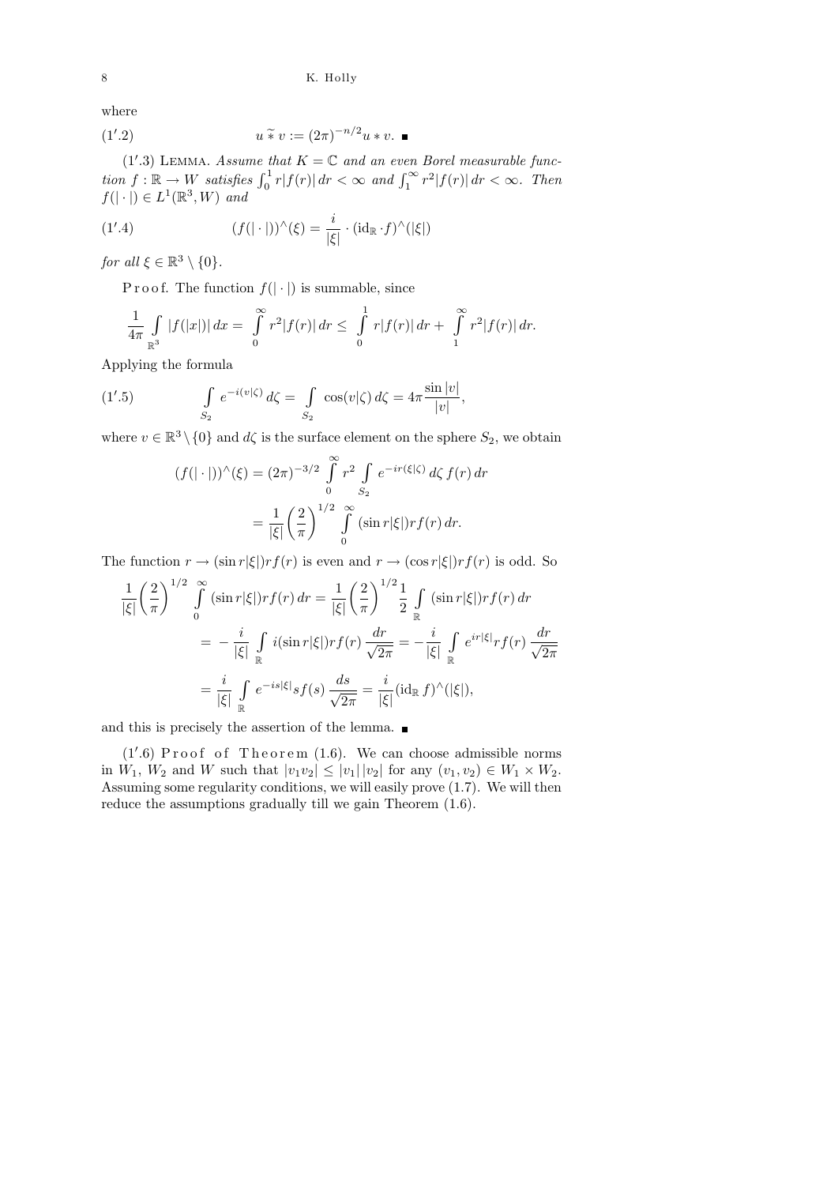where

$$
(1'.2) \t u \tilde{\ast} v := (2\pi)^{-n/2} u * v. \blacksquare
$$

(1'.3) LEMMA. Assume that  $K = \mathbb{C}$  and an even Borel measurable function  $f: \mathbb{R} \to W$  satisfies  $\int_0^1 r |f(r)| dr < \infty$  and  $\int_1^{\infty} r^2 |f(r)| dr < \infty$ . Then  $f(|\cdot|) \in L^1(\mathbb{R}^3, W)$  and

(1'.4) 
$$
(f(|\cdot|))^{\wedge}(\xi) = \frac{i}{|\xi|} \cdot (\mathrm{id}_{\mathbb{R}} \cdot f)^{\wedge}(|\xi|)
$$

for all  $\xi \in \mathbb{R}^3 \setminus \{0\}.$ 

P r o o f. The function  $f(|\cdot|)$  is summable, since

$$
\frac{1}{4\pi} \int\limits_{\mathbb{R}^3} |f(|x|)| dx = \int\limits_0^\infty r^2 |f(r)| dr \leq \int\limits_0^1 r|f(r)| dr + \int\limits_1^\infty r^2|f(r)| dr.
$$

Applying the formula

(1'.5) 
$$
\int_{S_2} e^{-i(v|\zeta)} d\zeta = \int_{S_2} \cos(v|\zeta) d\zeta = 4\pi \frac{\sin |v|}{|v|},
$$

where  $v \in \mathbb{R}^3 \setminus \{0\}$  and  $d\zeta$  is the surface element on the sphere  $S_2$ , we obtain

$$
(f(|\cdot|))^{\wedge}(\xi) = (2\pi)^{-3/2} \int_{0}^{\infty} r^{2} \int_{S_{2}} e^{-ir(\xi|\zeta)} d\zeta f(r) dr
$$

$$
= \frac{1}{|\xi|} \left(\frac{2}{\pi}\right)^{1/2} \int_{0}^{\infty} (\sin r|\xi|) rf(r) dr.
$$

The function  $r \to (\sin r |\xi|) r f(r)$  is even and  $r \to (\cos r |\xi|) r f(r)$  is odd. So

$$
\frac{1}{|\xi|} \left(\frac{2}{\pi}\right)^{1/2} \int_{0}^{\infty} (\sin r|\xi|) r f(r) dr = \frac{1}{|\xi|} \left(\frac{2}{\pi}\right)^{1/2} \frac{1}{2} \int_{\mathbb{R}} (\sin r|\xi|) r f(r) dr
$$

$$
= -\frac{i}{|\xi|} \int_{\mathbb{R}} i (\sin r|\xi|) r f(r) \frac{dr}{\sqrt{2\pi}} = -\frac{i}{|\xi|} \int_{\mathbb{R}} e^{ir|\xi|} r f(r) \frac{dr}{\sqrt{2\pi}}
$$

$$
= \frac{i}{|\xi|} \int_{\mathbb{R}} e^{-is|\xi|} s f(s) \frac{ds}{\sqrt{2\pi}} = \frac{i}{|\xi|} (id_{\mathbb{R}} f)^{\wedge}(|\xi|),
$$

and this is precisely the assertion of the lemma.  $\blacksquare$ 

 $(1'.6)$  Proof of Theorem  $(1.6)$ . We can choose admissible norms in  $W_1, W_2$  and W such that  $|v_1v_2| \le |v_1| |v_2|$  for any  $(v_1, v_2) \in W_1 \times W_2$ . Assuming some regularity conditions, we will easily prove (1.7). We will then reduce the assumptions gradually till we gain Theorem (1.6).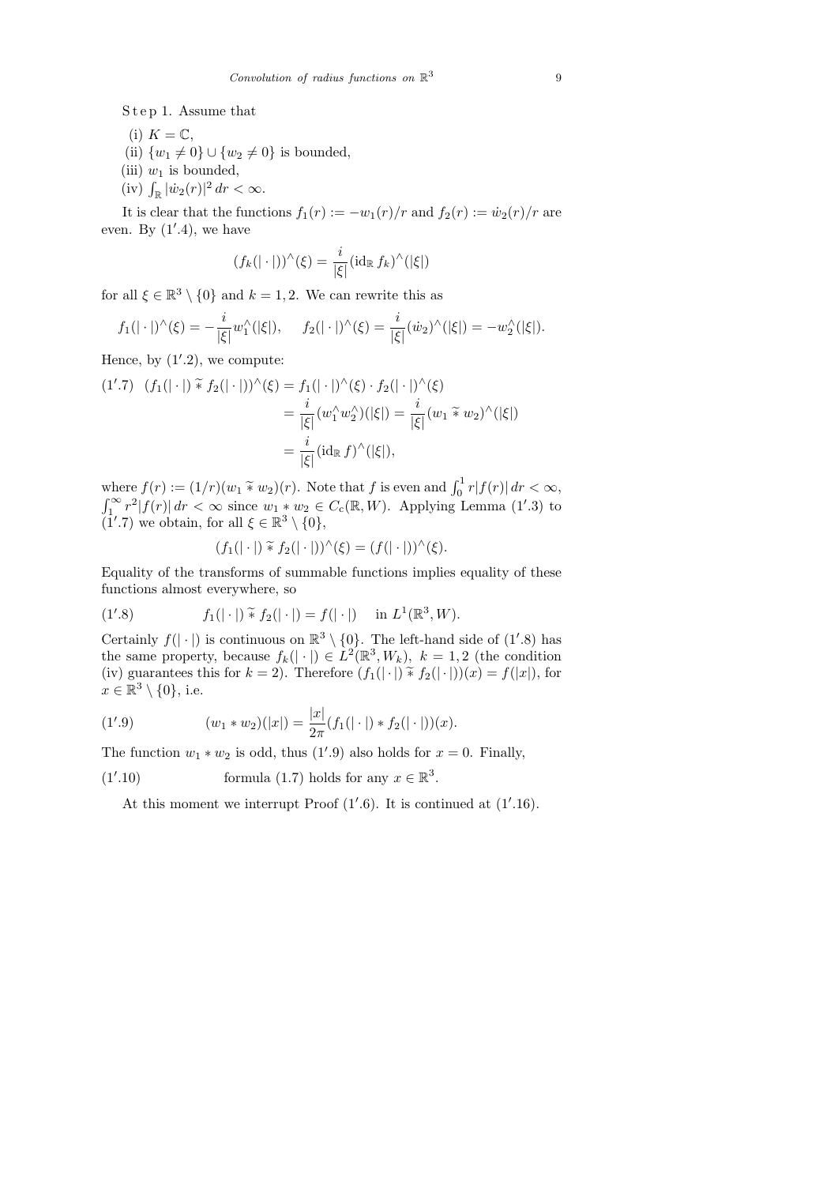S t e p 1. Assume that

- (i)  $K = \mathbb{C}$ ,
- (ii)  $\{w_1 \neq 0\} \cup \{w_2 \neq 0\}$  is bounded,
- (iii)  $w_1$  is bounded,
- (iv)  $\int_{\mathbb{R}} |\dot{w}_2(r)|^2 dr < \infty$ .

It is clear that the functions  $f_1(r) := -w_1(r)/r$  and  $f_2(r) := \dot{w}_2(r)/r$  are even. By  $(1', 4)$ , we have

$$
(f_k(|\cdot|))^{\wedge}(\xi) = \frac{i}{|\xi|} (\mathrm{id}_{\mathbb{R}} f_k)^{\wedge}(|\xi|)
$$

for all  $\xi \in \mathbb{R}^3 \setminus \{0\}$  and  $k = 1, 2$ . We can rewrite this as

$$
f_1(|\cdot|)^\wedge(\xi) = -\frac{i}{|\xi|}w_1^\wedge(|\xi|), \quad f_2(|\cdot|)^\wedge(\xi) = \frac{i}{|\xi|}(w_2)^\wedge(|\xi|) = -w_2^\wedge(|\xi|).
$$

Hence, by  $(1'.2)$ , we compute:

$$
(1'.7) \quad (f_1(|\cdot|) \tilde{*} f_2(|\cdot|))^{\hat{ }} (\xi) = f_1(|\cdot|)^{\hat{ }} (\xi) \cdot f_2(|\cdot|)^{\hat{ }} (\xi)
$$
  

$$
= \frac{i}{|\xi|} (w_1^{\hat{ }}w_2^{\hat{ }})(|\xi|) = \frac{i}{|\xi|} (w_1 \tilde{*} w_2)^{\hat{ }}(|\xi|)
$$
  

$$
= \frac{i}{|\xi|} (id_{\mathbb{R}} f)^{\hat{ }}(|\xi|),
$$

where  $f(r) := (1/r)(w_1 \tilde{*} w_2)(r)$ . Note that f is even and  $\int_0^1 r |f(r)| dr < \infty$ ,  $\int_1^{\infty} r^2 |f(r)| dr < \infty$  since  $w_1 * w_2 \in C_c(\mathbb{R}, W)$ . Applying Lemma (1'.3) to  $(1'.7)$  we obtain, for all  $\xi \in \mathbb{R}^3 \setminus \{0\},$ 

$$
(f_1(|\cdot|) \tilde{*} f_2(|\cdot|))^{\hat{}}(\xi) = (f(|\cdot|))^{\hat{}}(\xi).
$$

Equality of the transforms of summable functions implies equality of these functions almost everywhere, so

(1'.8) 
$$
f_1(|\cdot|) \widetilde{*} f_2(|\cdot|) = f(|\cdot|) \quad \text{in } L^1(\mathbb{R}^3, W).
$$

Certainly  $f(|\cdot|)$  is continuous on  $\mathbb{R}^3 \setminus \{0\}$ . The left-hand side of (1'.8) has the same property, because  $f_k(|\cdot|) \in L^2(\mathbb{R}^3, W_k)$ ,  $k = 1, 2$  (the condition (iv) guarantees this for  $k = 2$ ). Therefore  $(f_1(|\cdot|) \tilde{*} f_2(|\cdot|))(x) = f(|x|)$ , for  $x \in \mathbb{R}^3 \setminus \{0\},$  i.e.

(1'.9) 
$$
(w_1 * w_2)(|x|) = \frac{|x|}{2\pi}(f_1(|\cdot|) * f_2(|\cdot|))(x).
$$

The function  $w_1 * w_2$  is odd, thus (1'.9) also holds for  $x = 0$ . Finally,

(1'.10) formula (1.7) holds for any 
$$
x \in \mathbb{R}^3
$$
.

At this moment we interrupt Proof  $(1'.6)$ . It is continued at  $(1'.16)$ .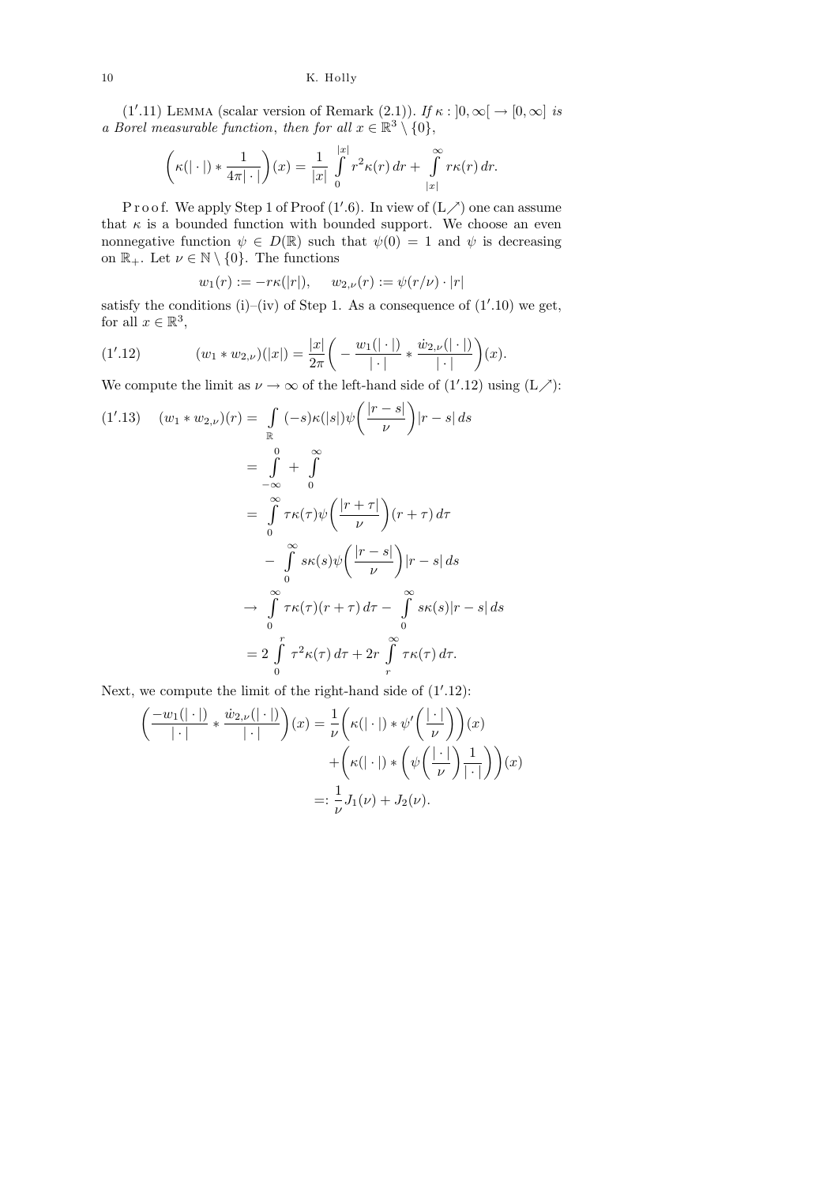(1'.11) LEMMA (scalar version of Remark (2.1)). If  $\kappa : [0, \infty] \to [0, \infty]$  is a Borel measurable function, then for all  $x \in \mathbb{R}^3 \setminus \{0\},\$ 

$$
\left(\kappa(|\cdot|) * \frac{1}{4\pi|\cdot|}\right)(x) = \frac{1}{|x|} \int_{0}^{|x|} r^{2}\kappa(r) dr + \int_{|x|}^{\infty} r\kappa(r) dr.
$$

P r o o f. We apply Step 1 of Proof  $(1'.6)$ . In view of  $(L \nearrow)$  one can assume that  $\kappa$  is a bounded function with bounded support. We choose an even nonnegative function  $\psi \in D(\mathbb{R})$  such that  $\psi(0) = 1$  and  $\psi$  is decreasing on  $\mathbb{R}_+$ . Let  $\nu \in \mathbb{N} \setminus \{0\}$ . The functions

$$
w_1(r) := -r\kappa(|r|), \quad w_{2,\nu}(r) := \psi(r/\nu) \cdot |r|
$$

satisfy the conditions (i)–(iv) of Step 1. As a consequence of  $(1'.10)$  we get, for all  $x \in \mathbb{R}^3$ ,

(1'.12) 
$$
(w_1 * w_{2,\nu})(|x|) = \frac{|x|}{2\pi} \left( -\frac{w_1(|\cdot|)}{|\cdot|} * \frac{\dot{w}_{2,\nu}(|\cdot|)}{|\cdot|} \right)(x).
$$

We compute the limit as  $\nu \to \infty$  of the left-hand side of (1'.12) using (L/'):

$$
(1'.13) \quad (w_1 * w_{2,\nu})(r) = \int_{\mathbb{R}} (-s)\kappa(|s|)\psi\left(\frac{|r-s|}{\nu}\right)|r-s| ds
$$
  

$$
= \int_{-\infty}^{0} + \int_{0}^{\infty}
$$
  

$$
= \int_{0}^{\infty} \tau \kappa(\tau)\psi\left(\frac{|r+\tau|}{\nu}\right)(r+\tau) d\tau
$$
  

$$
- \int_{0}^{\infty} s\kappa(s)\psi\left(\frac{|r-s|}{\nu}\right)|r-s| ds
$$
  

$$
\to \int_{0}^{\infty} \tau \kappa(\tau)(r+\tau) d\tau - \int_{0}^{\infty} s\kappa(s)|r-s| ds
$$
  

$$
= 2 \int_{0}^{r} \tau^{2} \kappa(\tau) d\tau + 2r \int_{r}^{\infty} \tau \kappa(\tau) d\tau.
$$

Next, we compute the limit of the right-hand side of  $(1'.12)$ :

$$
\left(\frac{-w_1(|\cdot|)}{|\cdot|} * \frac{\dot{w}_{2,\nu}(|\cdot|)}{|\cdot|}\right)(x) = \frac{1}{\nu} \left(\kappa(|\cdot|) * \psi'\left(\frac{|\cdot|}{\nu}\right)\right)(x) +\left(\kappa(|\cdot|) * \left(\psi\left(\frac{|\cdot|}{\nu}\right)\frac{1}{|\cdot|}\right)\right)(x) =: \frac{1}{\nu}J_1(\nu) + J_2(\nu).
$$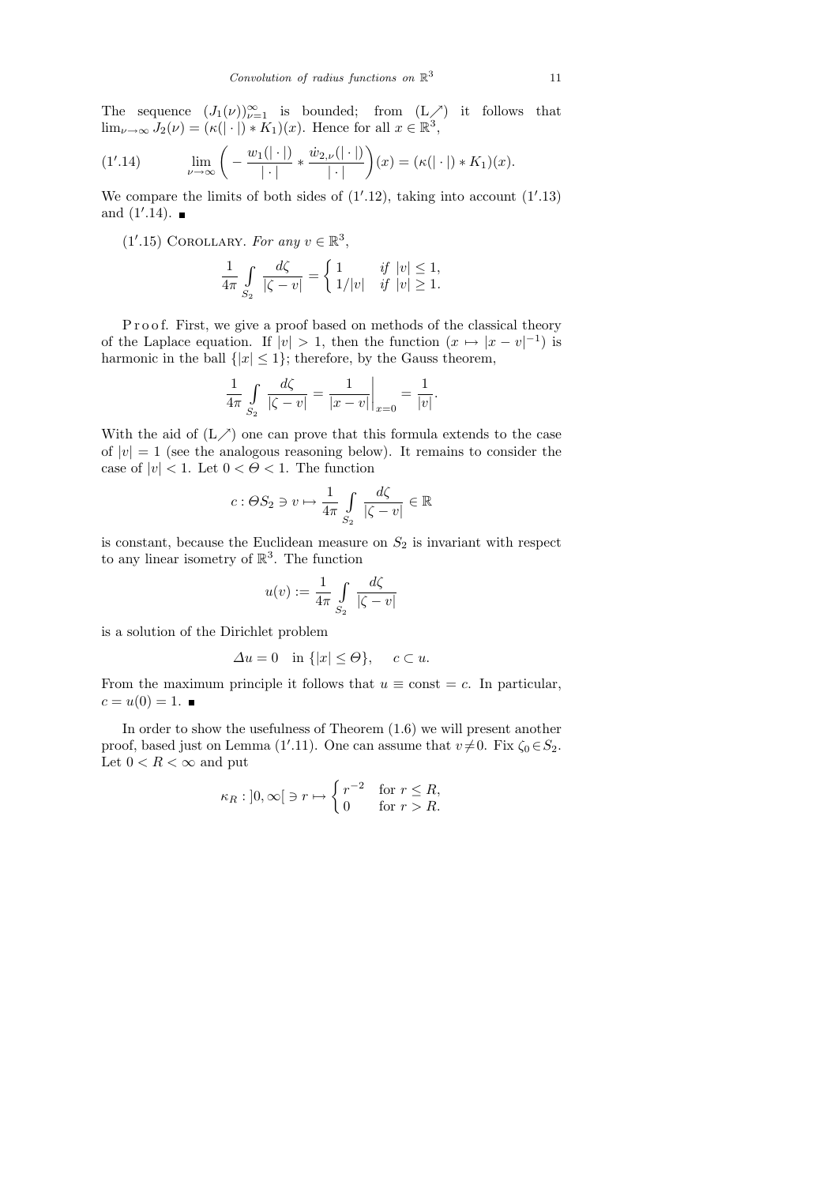The sequence  $(J_1(\nu))_{\nu=1}^{\infty}$  is bounded; from  $(L \nearrow)$  it follows that  $\lim_{\nu \to \infty} J_2(\nu) = (\kappa(|\cdot|) * \tilde{K}_1)(x)$ . Hence for all  $x \in \mathbb{R}^3$ ,

(1'.14) 
$$
\lim_{\nu \to \infty} \left( -\frac{w_1(|\cdot|)}{|\cdot|} * \frac{\dot{w}_{2,\nu}(|\cdot|)}{|\cdot|} \right)(x) = (\kappa(|\cdot|) * K_1)(x).
$$

We compare the limits of both sides of  $(1'.12)$ , taking into account  $(1'.13)$ and  $(1'.14)$ .

(1'.15) COROLLARY. For any 
$$
v \in \mathbb{R}^3
$$
,

$$
\frac{1}{4\pi} \int\limits_{S_2} \frac{d\zeta}{|\zeta - v|} = \begin{cases} 1 & \text{if } |v| \leq 1, \\ 1/|v| & \text{if } |v| \geq 1. \end{cases}
$$

Proof. First, we give a proof based on methods of the classical theory of the Laplace equation. If  $|v| > 1$ , then the function  $(x \mapsto |x - v|^{-1})$  is harmonic in the ball  $\{|x| \leq 1\}$ ; therefore, by the Gauss theorem,

$$
\frac{1}{4\pi} \int\limits_{S_2} \frac{d\zeta}{|\zeta - v|} = \frac{1}{|x - v|} \bigg|_{x = 0} = \frac{1}{|v|}.
$$

With the aid of  $(L \nearrow)$  one can prove that this formula extends to the case of  $|v| = 1$  (see the analogous reasoning below). It remains to consider the case of  $|v| < 1$ . Let  $0 < \Theta < 1$ . The function

$$
c: \Theta S_2 \ni v \mapsto \frac{1}{4\pi} \int\limits_{S_2} \frac{d\zeta}{|\zeta - v|} \in \mathbb{R}
$$

is constant, because the Euclidean measure on  $S_2$  is invariant with respect to any linear isometry of  $\mathbb{R}^3$ . The function

$$
u(v) := \frac{1}{4\pi} \int\limits_{S_2} \frac{d\zeta}{|\zeta - v|}
$$

is a solution of the Dirichlet problem

$$
\Delta u = 0 \quad \text{in } \{ |x| \le \Theta \}, \quad c \subset u.
$$

From the maximum principle it follows that  $u \equiv \text{const} = c$ . In particular,  $c = u(0) = 1.$ 

In order to show the usefulness of Theorem (1.6) we will present another proof, based just on Lemma (1'.11). One can assume that  $v \neq 0$ . Fix  $\zeta_0 \in S_2$ . Let  $0 < R < \infty$  and put

$$
\kappa_R : ]0, \infty[ \ni r \mapsto \begin{cases} r^{-2} & \text{for } r \leq R, \\ 0 & \text{for } r > R. \end{cases}
$$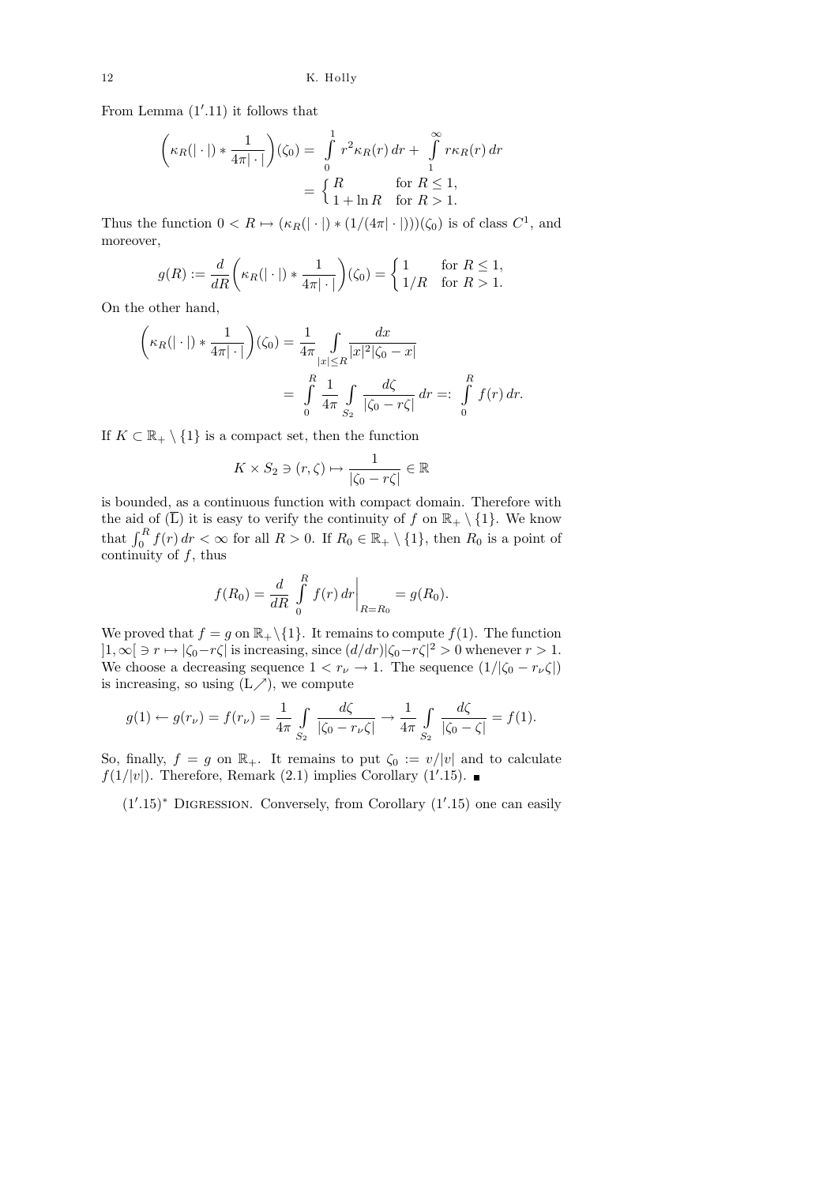From Lemma  $(1'.11)$  it follows that

$$
\left(\kappa_R(|\cdot|) * \frac{1}{4\pi|\cdot|}\right)(\zeta_0) = \int_0^1 r^2 \kappa_R(r) dr + \int_1^\infty r \kappa_R(r) dr
$$

$$
= \begin{cases} R & \text{for } R \le 1, \\ 1 + \ln R & \text{for } R > 1. \end{cases}
$$

Thus the function  $0 < R \mapsto (\kappa_R(|\cdot|) * (1/(4\pi|\cdot|)))(\zeta_0)$  is of class  $C^1$ , and moreover,

$$
g(R) := \frac{d}{dR} \left( \kappa_R(|\cdot|) * \frac{1}{4\pi |\cdot|} \right) (\zeta_0) = \begin{cases} 1 & \text{for } R \le 1, \\ 1/R & \text{for } R > 1. \end{cases}
$$

On the other hand,

$$
\left(\kappa_R(|\cdot|) * \frac{1}{4\pi|\cdot|}\right)(\zeta_0) = \frac{1}{4\pi} \int_{|x| \le R} \frac{dx}{|x|^2 |\zeta_0 - x|} \\
= \int_{0}^{R} \frac{1}{4\pi} \int_{S_2} \frac{d\zeta}{|\zeta_0 - r\zeta|} dr =: \int_{0}^{R} f(r) dr.
$$

If  $K \subset \mathbb{R}_+ \setminus \{1\}$  is a compact set, then the function

$$
K \times S_2 \ni (r, \zeta) \mapsto \frac{1}{|\zeta_0 - r\zeta|} \in \mathbb{R}
$$

is bounded, as a continuous function with compact domain. Therefore with the aid of  $(\overline{L})$  it is easy to verify the continuity of f on  $\mathbb{R}_+ \setminus \{1\}$ . We know that  $\int_0^R f(r) dr < \infty$  for all  $R > 0$ . If  $R_0 \in \mathbb{R}_+ \setminus \{1\}$ , then  $R_0$  is a point of continuity of  $f$ , thus

$$
f(R_0) = \frac{d}{dR} \int_{0}^{R} f(r) dr \bigg|_{R=R_0} = g(R_0).
$$

We proved that  $f = g$  on  $\mathbb{R}_+ \setminus \{1\}$ . It remains to compute  $f(1)$ . The function  $]1,\infty[\ni r \mapsto |\zeta_0-r\zeta| \text{ is increasing, since } (d/dr)|\zeta_0-r\zeta|^2 > 0 \text{ whenever } r > 1.$ We choose a decreasing sequence  $1 < r_{\nu} \to 1$ . The sequence  $(1/|\zeta_0 - r_{\nu}\zeta|)$ is increasing, so using  $(L \nearrow)$ , we compute

$$
g(1) \leftarrow g(r_{\nu}) = f(r_{\nu}) = \frac{1}{4\pi} \int_{S_2} \frac{d\zeta}{|\zeta_0 - r_{\nu}\zeta|} \to \frac{1}{4\pi} \int_{S_2} \frac{d\zeta}{|\zeta_0 - \zeta|} = f(1).
$$

So, finally,  $f = g$  on  $\mathbb{R}_+$ . It remains to put  $\zeta_0 := v/|v|$  and to calculate  $f(1/|v|)$ . Therefore, Remark (2.1) implies Corollary (1'.15).

 $(1'.15)$ <sup>\*</sup> DIGRESSION. Conversely, from Corollary  $(1'.15)$  one can easily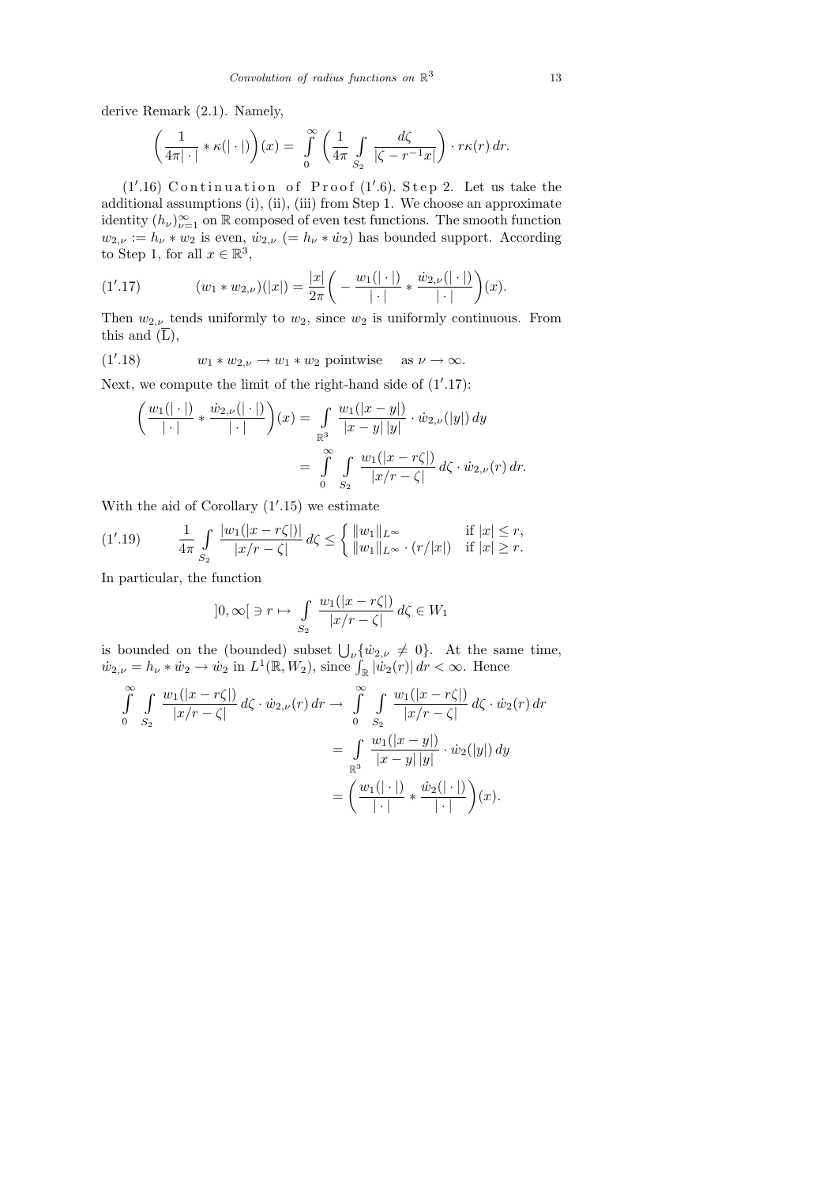derive Remark (2.1). Namely,

$$
\left(\frac{1}{4\pi|\cdot|} * \kappa(|\cdot|)\right)(x) = \int_{0}^{\infty} \left(\frac{1}{4\pi}\int_{S_2} \frac{d\zeta}{|\zeta - r^{-1}x|}\right) \cdot r\kappa(r) dr.
$$

 $(1'.16)$  Continuation of Proof  $(1'.6)$ . Step 2. Let us take the additional assumptions (i), (ii), (iii) from Step 1. We choose an approximate identity  $(h_{\nu})_{\nu=1}^{\infty}$  on R composed of even test functions. The smooth function  $w_{2,\nu} := h_{\nu} * w_2$  is even,  $\dot{w}_{2,\nu}$  (=  $h_{\nu} * \dot{w}_2$ ) has bounded support. According to Step 1, for all  $x \in \mathbb{R}^3$ ,

(1'.17) 
$$
(w_1 * w_{2,\nu})(|x|) = \frac{|x|}{2\pi} \left( -\frac{w_1(|\cdot|)}{|\cdot|} * \frac{\dot{w}_{2,\nu}(|\cdot|)}{|\cdot|} \right)(x).
$$

Then  $w_{2,\nu}$  tends uniformly to  $w_2$ , since  $w_2$  is uniformly continuous. From this and  $(\overline{L})$ ,

(1'.18) 
$$
w_1 * w_{2,\nu} \to w_1 * w_2
$$
 pointwise as  $\nu \to \infty$ .

Next, we compute the limit of the right-hand side of  $(1'.17)$ :

$$
\left(\frac{w_1(|\cdot|)}{|\cdot|} * \frac{\dot{w}_{2,\nu}(|\cdot|)}{|\cdot|}\right)(x) = \int_{\mathbb{R}^3} \frac{w_1(|x-y|)}{|x-y| |y|} \cdot \dot{w}_{2,\nu}(|y|) dy
$$
  
= 
$$
\int_{0}^{\infty} \int_{S_2} \frac{w_1(|x-r\zeta|)}{|x/r - \zeta|} d\zeta \cdot \dot{w}_{2,\nu}(r) dr.
$$

With the aid of Corollary  $(1'.15)$  we estimate

$$
(1'.19) \qquad \frac{1}{4\pi} \int\limits_{S_2} \frac{|w_1(|x - r\zeta|)|}{|x/r - \zeta|} d\zeta \le \begin{cases} ||w_1||_{L^{\infty}} & \text{if } |x| \le r, \\ ||w_1||_{L^{\infty}} \cdot (r/|x|) & \text{if } |x| \ge r. \end{cases}
$$

In particular, the function

$$
]0, \infty[ \ni r \mapsto \int\limits_{S_2} \frac{w_1(|x - r\zeta|)}{|x/r - \zeta|} d\zeta \in W_1
$$

is bounded on the (bounded) subset  $\bigcup_{\nu} \{\dot{w}_{2,\nu} \neq 0\}$ . At the same time,  $\dot{w}_{2,\nu} = h_{\nu} * \dot{w}_2 \rightarrow \dot{w}_2$  in  $L^1(\mathbb{R}, W_2)$ , since  $\int_{\mathbb{R}} |\dot{w}_2(r)| dr < \infty$ . Hence

$$
\int_{0}^{\infty} \int_{S_2} \frac{w_1(|x - r\zeta|)}{|x/r - \zeta|} d\zeta \cdot \dot{w}_{2,\nu}(r) dr \to \int_{0}^{\infty} \int_{S_2} \frac{w_1(|x - r\zeta|)}{|x/r - \zeta|} d\zeta \cdot \dot{w}_2(r) dr \n= \int_{\mathbb{R}^3} \frac{w_1(|x - y|)}{|x - y| |y|} \cdot \dot{w}_2(|y|) dy \n= \left(\frac{w_1(|\cdot|)}{|\cdot|} * \frac{\dot{w}_2(|\cdot|)}{|\cdot|}\right)(x).
$$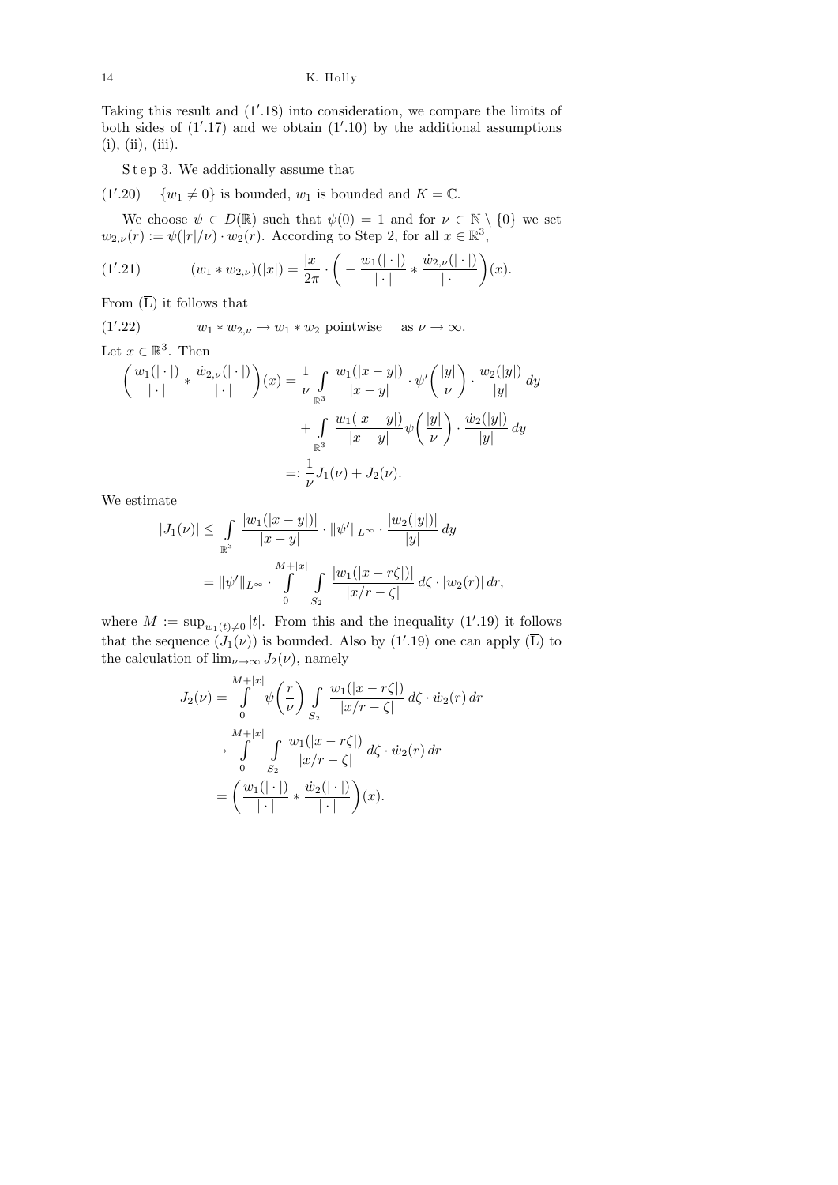Taking this result and  $(1'.18)$  into consideration, we compare the limits of both sides of  $(1'.17)$  and we obtain  $(1'.10)$  by the additional assumptions  $(i), (ii), (iii).$ 

S t e p 3. We additionally assume that

 $(1'.20) \quad \{w_1 \neq 0\}$  is bounded,  $w_1$  is bounded and  $K = \mathbb{C}$ .

We choose  $\psi \in D(\mathbb{R})$  such that  $\psi(0) = 1$  and for  $\nu \in \mathbb{N} \setminus \{0\}$  we set  $w_{2,\nu}(r) := \psi(|r|/\nu) \cdot w_2(r)$ . According to Step 2, for all  $x \in \mathbb{R}^3$ ,

(1'.21) 
$$
(w_1 * w_{2,\nu})(|x|) = \frac{|x|}{2\pi} \cdot \left( -\frac{w_1(|\cdot|)}{|\cdot|} * \frac{\dot{w}_{2,\nu}(|\cdot|)}{|\cdot|} \right)(x).
$$

From  $(\overline{L})$  it follows that

 $(1'.22)$  $w_1 * w_{2,\nu} \to w_1 * w_2$  pointwise as  $\nu \to \infty$ . Let  $x \in \mathbb{R}^3$ . Then

$$
\left(\frac{w_1(|\cdot|)}{|\cdot|} * \frac{\dot{w}_{2,\nu}(|\cdot|)}{|\cdot|}\right)(x) = \frac{1}{\nu} \int_{\mathbb{R}^3} \frac{w_1(|x-y|)}{|x-y|} \cdot \psi'\left(\frac{|y|}{\nu}\right) \cdot \frac{w_2(|y|)}{|y|} dy + \int_{\mathbb{R}^3} \frac{w_1(|x-y|)}{|x-y|} \psi\left(\frac{|y|}{\nu}\right) \cdot \frac{\dot{w}_2(|y|)}{|y|} dy =: \frac{1}{\nu} J_1(\nu) + J_2(\nu).
$$

We estimate

$$
|J_1(\nu)| \leq \int_{\mathbb{R}^3} \frac{|w_1(|x-y|)|}{|x-y|} \cdot ||\psi'||_{L^{\infty}} \cdot \frac{|w_2(|y|)|}{|y|} dy
$$
  
=  $||\psi'||_{L^{\infty}} \cdot \int_{0}^{M+|x|} \int_{S_2} \frac{|w_1(|x-r\zeta|)|}{|x/r-\zeta|} d\zeta \cdot |w_2(r)| dr,$ 

where  $M := \sup_{w_1(t) \neq 0} |t|$ . From this and the inequality (1'.19) it follows that the sequence  $(J_1(\nu))$  is bounded. Also by  $(1'.19)$  one can apply  $(\overline{L})$  to the calculation of  $\lim_{\nu\to\infty} J_2(\nu)$ , namely

$$
J_2(\nu) = \int_0^{M+|x|} \psi\left(\frac{r}{\nu}\right) \int_{S_2} \frac{w_1(|x-r\zeta|)}{|x/r-\zeta|} d\zeta \cdot \dot{w}_2(r) dr
$$
  

$$
\to \int_0^{M+|x|} \int_{S_2} \frac{w_1(|x-r\zeta|)}{|x/r-\zeta|} d\zeta \cdot \dot{w}_2(r) dr
$$
  

$$
= \left(\frac{w_1(|\cdot|)}{|\cdot|} * \frac{\dot{w}_2(|\cdot|)}{|\cdot|}\right)(x).
$$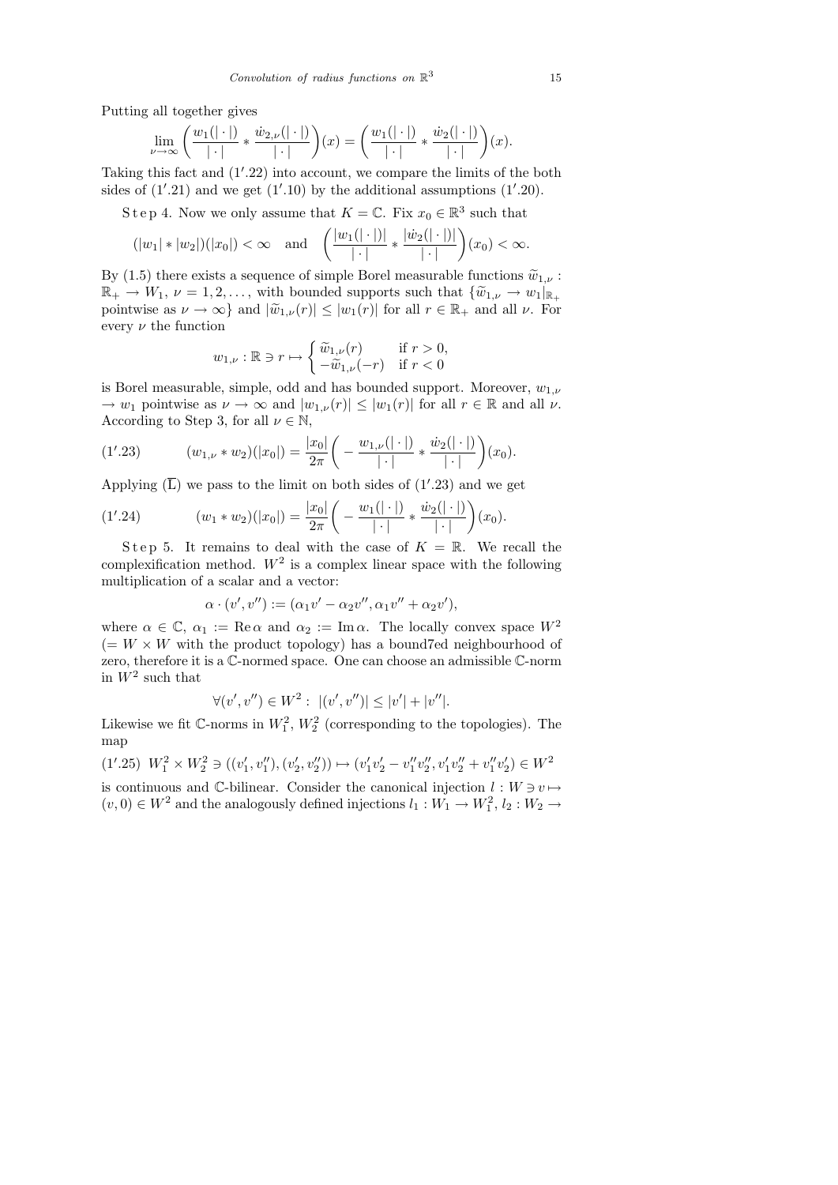Putting all together gives

$$
\lim_{\nu \to \infty} \left( \frac{w_1(|\cdot|)}{|\cdot|} * \frac{\dot{w}_{2,\nu}(|\cdot|)}{|\cdot|} \right)(x) = \left( \frac{w_1(|\cdot|)}{|\cdot|} * \frac{\dot{w}_2(|\cdot|)}{|\cdot|} \right)(x).
$$

Taking this fact and  $(1'.22)$  into account, we compare the limits of the both sides of  $(1'.21)$  and we get  $(1'.10)$  by the additional assumptions  $(1'.20)$ .

S t e p 4. Now we only assume that  $K = \mathbb{C}$ . Fix  $x_0 \in \mathbb{R}^3$  such that

$$
(|w_1| * |w_2|)(|x_0|) < \infty \quad \text{and} \quad \left(\frac{|w_1(|\cdot|)|}{|\cdot|} * \frac{|w_2(|\cdot|)|}{|\cdot|}\right)(x_0) < \infty.
$$

By (1.5) there exists a sequence of simple Borel measurable functions  $\tilde{w}_{1,\nu}$ :  $\mathbb{R}_+ \to W_1, \nu = 1, 2, \ldots$ , with bounded supports such that  $\{\widetilde{w}_{1,\nu} \to w_1\}_{\mathbb{R}_+}$ pointwise as  $\nu \to \infty$ } and  $|\widetilde{w}_{1,\nu}(r)| \leq |w_1(r)|$  for all  $r \in \mathbb{R}_+$  and all  $\nu$ . For every  $\nu$  the function

$$
w_{1,\nu}: \mathbb{R} \ni r \mapsto \begin{cases} \widetilde{w}_{1,\nu}(r) & \text{if } r > 0, \\ -\widetilde{w}_{1,\nu}(-r) & \text{if } r < 0 \end{cases}
$$

is Borel measurable, simple, odd and has bounded support. Moreover,  $w_{1,\nu}$  $\rightarrow w_1$  pointwise as  $\nu \rightarrow \infty$  and  $|w_{1,\nu}(r)| \leq |w_1(r)|$  for all  $r \in \mathbb{R}$  and all  $\nu$ . According to Step 3, for all  $\nu \in \mathbb{N}$ ,

(1'.23) 
$$
(w_{1,\nu} * w_2)(|x_0|) = \frac{|x_0|}{2\pi} \left( -\frac{w_{1,\nu}(|\cdot|)}{|\cdot|} * \frac{\dot{w}_2(|\cdot|)}{|\cdot|} \right)(x_0).
$$

Applying  $(\overline{L})$  we pass to the limit on both sides of  $(1'.23)$  and we get

(1'.24) 
$$
(w_1 * w_2)(|x_0|) = \frac{|x_0|}{2\pi} \bigg( -\frac{w_1(|\cdot|)}{|\cdot|} * \frac{\dot{w}_2(|\cdot|)}{|\cdot|} \bigg)(x_0).
$$

Step 5. It remains to deal with the case of  $K = \mathbb{R}$ . We recall the complexification method.  $W^2$  is a complex linear space with the following multiplication of a scalar and a vector:

$$
\alpha \cdot (v', v'') := (\alpha_1 v' - \alpha_2 v'', \alpha_1 v'' + \alpha_2 v'),
$$

where  $\alpha \in \mathbb{C}$ ,  $\alpha_1 := \text{Re}\,\alpha$  and  $\alpha_2 := \text{Im}\,\alpha$ . The locally convex space  $W^2$  $(= W \times W$  with the product topology) has a bound7ed neighbourhood of zero, therefore it is a C-normed space. One can choose an admissible C-norm in  $W^2$  such that

$$
\forall (v',v'') \in W^2: \ |(v',v'')| \le |v'| + |v''|.
$$

Likewise we fit  $\mathbb{C}$ -norms in  $W_1^2$ ,  $W_2^2$  (corresponding to the topologies). The map

(1'.25) 
$$
W_1^2 \times W_2^2 \ni ((v_1', v_1''), (v_2', v_2'')) \mapsto (v_1'v_2' - v_1''v_2'', v_1'v_2'' + v_1''v_2') \in W^2
$$
  
is continuous and C-bilinear. Consider the canonical injection  $l : W \ni v \mapsto$ 

 $(v, 0) \in W^2$  and the analogously defined injections  $l_1: W_1 \to W_1^2$ ,  $l_2: W_2 \to$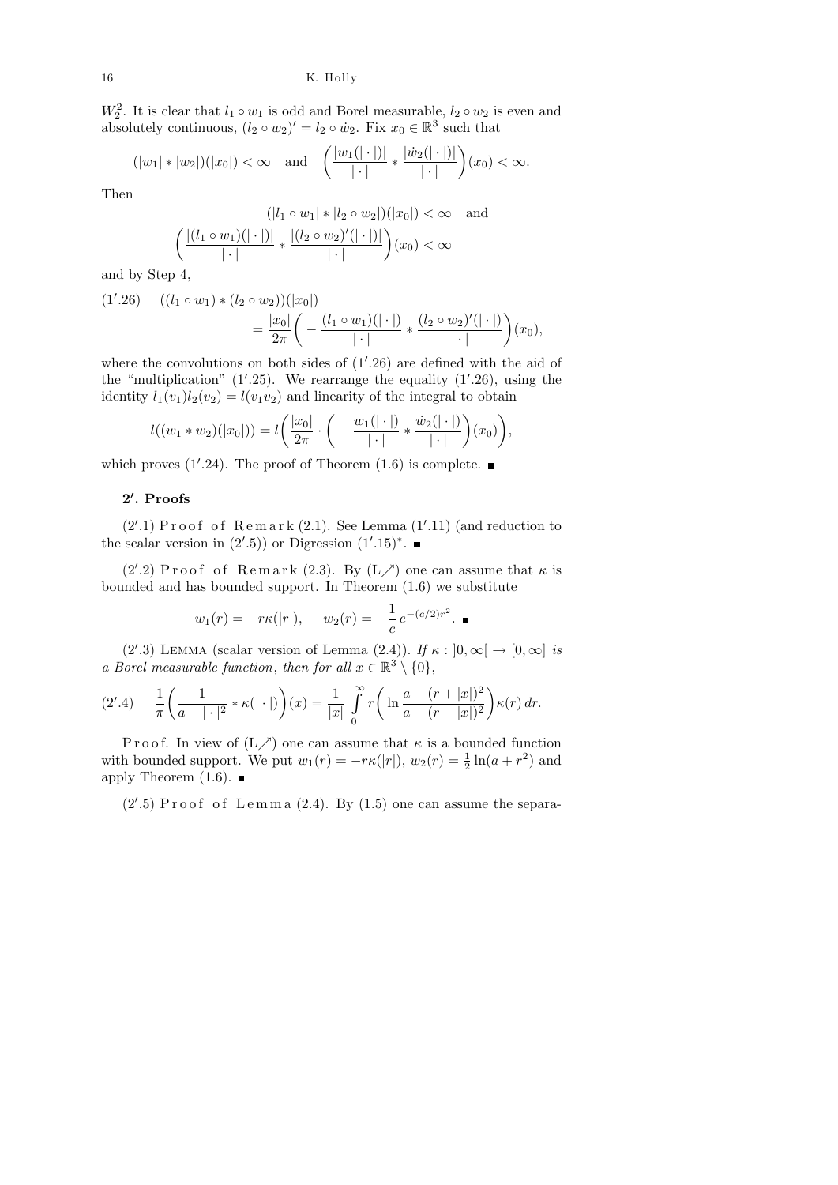$W_2^2$ . It is clear that  $l_1 \circ w_1$  is odd and Borel measurable,  $l_2 \circ w_2$  is even and absolutely continuous,  $(l_2 \circ w_2)' = l_2 \circ w_2$ . Fix  $x_0 \in \mathbb{R}^3$  such that

$$
(|w_1| * |w_2|)(|x_0|) < \infty \text{ and } \left(\frac{|w_1(|\cdot|)|}{|\cdot|} * \frac{|w_2(|\cdot|)|}{|\cdot|}\right)(x_0) < \infty.
$$

Then

$$
(|l_1 \circ w_1| * |l_2 \circ w_2|)(|x_0|) < \infty \quad \text{and}
$$

$$
\left(\frac{|(l_1 \circ w_1)(|\cdot|)|}{|\cdot|} * \frac{|(l_2 \circ w_2)'(|\cdot|)|}{|\cdot|}\right)(x_0) < \infty
$$

and by Step 4,

$$
(1'.26) \quad ((l_1 \circ w_1) * (l_2 \circ w_2))(|x_0|)
$$
  
=  $\frac{|x_0|}{2\pi} \left( -\frac{(l_1 \circ w_1)(|\cdot|)}{|\cdot|} * \frac{(l_2 \circ w_2)'(|\cdot|)}{|\cdot|} \right)(x_0),$ 

where the convolutions on both sides of  $(1'.26)$  are defined with the aid of the "multiplication"  $(1'.25)$ . We rearrange the equality  $(1'.26)$ , using the identity  $l_1(v_1)l_2(v_2) = l(v_1v_2)$  and linearity of the integral to obtain

$$
l((w_1 * w_2)(|x_0|)) = l\left(\frac{|x_0|}{2\pi} \cdot \left(-\frac{w_1(|\cdot|)}{|\cdot|} * \frac{\dot{w}_2(|\cdot|)}{|\cdot|}\right)(x_0)\right),
$$

which proves  $(1'.24)$ . The proof of Theorem  $(1.6)$  is complete.

## 2'. Proofs

 $(2'.1)$  Proof of Remark  $(2.1)$ . See Lemma  $(1'.11)$  (and reduction to the scalar version in  $(2'.5)$  or Digression  $(1'.15)^*$ .

(2'.2) Proof of Remark (2.3). By  $(L \n<sup>2</sup>)$  one can assume that  $\kappa$  is bounded and has bounded support. In Theorem (1.6) we substitute

$$
w_1(r) = -r\kappa(|r|), \quad w_2(r) = -\frac{1}{c}e^{-(c/2)r^2}.
$$

(2'.3) LEMMA (scalar version of Lemma (2.4)). If  $\kappa : [0, \infty] \to [0, \infty]$  is a Borel measurable function, then for all  $x \in \mathbb{R}^3 \setminus \{0\},$ 

$$
(2'.4) \quad \frac{1}{\pi} \left( \frac{1}{a+|\cdot|^2} * \kappa(|\cdot|) \right)(x) = \frac{1}{|x|} \int_0^\infty r \left( \ln \frac{a+(r+|x|)^2}{a+(r-|x|)^2} \right) \kappa(r) \, dr.
$$

P r o o f. In view of  $(L \nearrow)$  one can assume that  $\kappa$  is a bounded function with bounded support. We put  $w_1(r) = -r\kappa(|r|)$ ,  $w_2(r) = \frac{1}{2}\ln(a+r^2)$  and apply Theorem  $(1.6)$ .

 $(2'.5)$  Proof of Lemma  $(2.4)$ . By  $(1.5)$  one can assume the separa-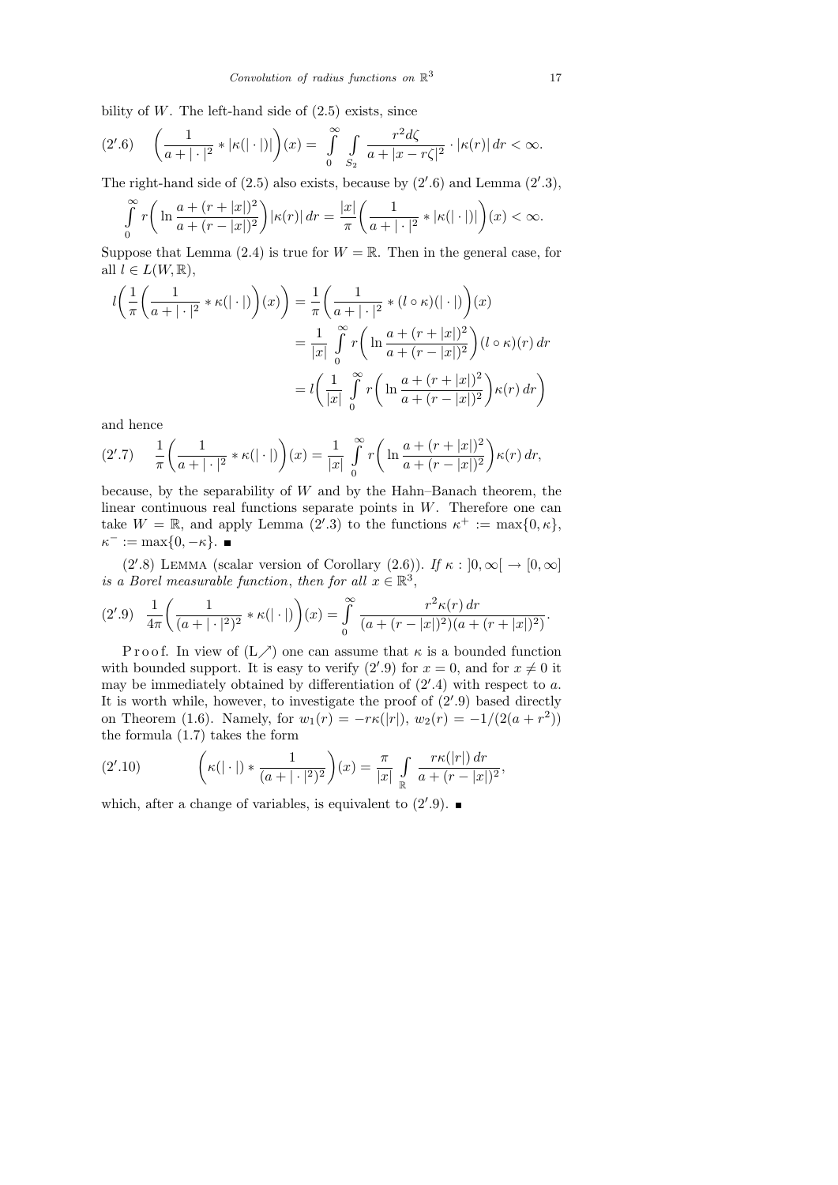bility of  $W$ . The left-hand side of  $(2.5)$  exists, since

$$
(2'.6)\quad \left(\frac{1}{a+|\cdot|^2} * |\kappa(|\cdot|)|\right)(x) = \int\limits_0^\infty \int\limits_{S_2} \frac{r^2 d\zeta}{a+|x-r\zeta|^2} \cdot |\kappa(r)|\,dr < \infty.
$$

The right-hand side of  $(2.5)$  also exists, because by  $(2'.6)$  and Lemma  $(2'.3)$ ,

$$
\int_{0}^{\infty} r\bigg(\ln\frac{a+(r+|x|)^2}{a+(r-|x|)^2}\bigg)|\kappa(r)|\,dr=\frac{|x|}{\pi}\bigg(\frac{1}{a+|\cdot|^2} * |\kappa(|\cdot|)|\bigg)(x)<\infty.
$$

Suppose that Lemma  $(2.4)$  is true for  $W = \mathbb{R}$ . Then in the general case, for all  $l \in L(W, \mathbb{R}),$ 

$$
l\left(\frac{1}{\pi}\left(\frac{1}{a+|\cdot|^2}*\kappa(|\cdot|)\right)(x)\right) = \frac{1}{\pi}\left(\frac{1}{a+|\cdot|^2}*(l\circ\kappa)(|\cdot|)\right)(x)
$$

$$
= \frac{1}{|x|}\int_{0}^{\infty}r\left(\ln\frac{a+(r+|x|)^2}{a+(r-|x|)^2}\right)(l\circ\kappa)(r)\,dr
$$

$$
= l\left(\frac{1}{|x|}\int_{0}^{\infty}r\left(\ln\frac{a+(r+|x|)^2}{a+(r-|x|)^2}\right)\kappa(r)\,dr\right)
$$

and hence

$$
(2'.7) \quad \frac{1}{\pi} \left( \frac{1}{a+|\cdot|^2} * \kappa(|\cdot|) \right)(x) = \frac{1}{|x|} \int_0^\infty r \left( \ln \frac{a+(r+|x|)^2}{a+(r-|x|)^2} \right) \kappa(r) \, dr,
$$

because, by the separability of  $W$  and by the Hahn–Banach theorem, the linear continuous real functions separate points in W. Therefore one can take  $W = \mathbb{R}$ , and apply Lemma (2'.3) to the functions  $\kappa^+ := \max\{0, \kappa\},\$  $\kappa^- := \max\{0, -\kappa\}.$ 

(2'.8) LEMMA (scalar version of Corollary (2.6)). If  $\kappa : [0, \infty) \to [0, \infty]$ is a Borel measurable function, then for all  $x \in \mathbb{R}^3$ ,

$$
(2'.9) \frac{1}{4\pi} \left( \frac{1}{(a+|\cdot|^2)^2} * \kappa(|\cdot|) \right) (x) = \int_{0}^{\infty} \frac{r^2 \kappa(r) dr}{(a+(r-|x|)^2)(a+(r+|x|)^2)}.
$$

P r o o f. In view of  $(L \nearrow)$  one can assume that  $\kappa$  is a bounded function with bounded support. It is easy to verify  $(2'.9)$  for  $x = 0$ , and for  $x \neq 0$  it may be immediately obtained by differentiation of  $(2^{\prime}.4)$  with respect to a. It is worth while, however, to investigate the proof of  $(2'.9)$  based directly on Theorem (1.6). Namely, for  $w_1(r) = -r\kappa(|r|)$ ,  $w_2(r) = -1/(2(a+r^2))$ the formula (1.7) takes the form

(2'.10) 
$$
\left(\kappa(|\cdot|) * \frac{1}{(a+|\cdot|^2)^2}\right)(x) = \frac{\pi}{|x|} \int_{\mathbb{R}} \frac{r\kappa(|r|) dr}{a + (r - |x|)^2},
$$

which, after a change of variables, is equivalent to  $(2'.9)$ .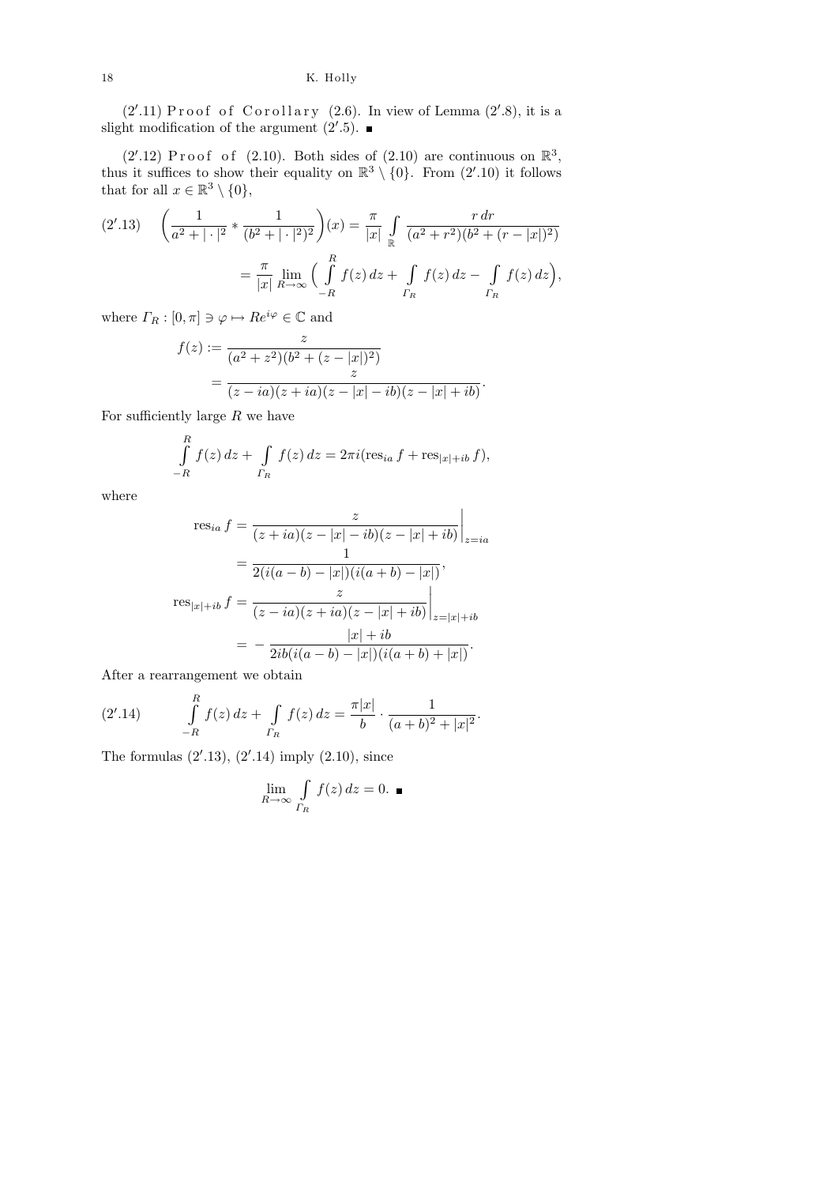$(2'.11)$  Proof of Corollary  $(2.6)$ . In view of Lemma  $(2'.8)$ , it is a slight modification of the argument  $(2^{\prime}.5)$ .

 $(2'.12)$  Proof of  $(2.10)$ . Both sides of  $(2.10)$  are continuous on  $\mathbb{R}^3$ , thus it suffices to show their equality on  $\mathbb{R}^3 \setminus \{0\}$ . From  $(2'.10)$  it follows that for all  $x \in \mathbb{R}^3 \setminus \{0\},\$ 

$$
(2'.13) \quad \left(\frac{1}{a^2+|\cdot|^2} * \frac{1}{(b^2+|\cdot|^2)^2}\right)(x) = \frac{\pi}{|x|} \int_{\mathbb{R}} \frac{r dr}{(a^2+r^2)(b^2+(r-|x|)^2)} \n= \frac{\pi}{|x|} \lim_{R \to \infty} \left(\int_{-R}^{R} f(z) dz + \int_{\Gamma_R} f(z) dz - \int_{\Gamma_R} f(z) dz\right),
$$

where  $\varGamma_R:[0,\pi]\ni\varphi\mapsto Re^{i\varphi}\in\mathbb{C}$  and

$$
f(z) := \frac{z}{(a^2 + z^2)(b^2 + (z - |x|)^2)}
$$
  
= 
$$
\frac{z}{(z - ia)(z + ia)(z - |x| - ib)(z - |x| + ib)}.
$$

For sufficiently large  $R$  we have

$$
\int_{-R}^{R} f(z) dz + \int_{\Gamma_R} f(z) dz = 2\pi i (\text{res}_{ia} f + \text{res}_{|x|+ib} f),
$$

where

$$
\operatorname{res}_{ia} f = \frac{z}{(z+ia)(z-|x|-ib)(z-|x|+ib)}\Big|_{z=ia}
$$
  
= 
$$
\frac{1}{2(i(a-b)-|x|)(i(a+b)-|x|)},
$$
  

$$
\operatorname{res}_{|x|+ib} f = \frac{z}{(z-ia)(z+ia)(z-|x|+ib)}\Big|_{z=|x|+ib}
$$
  
= 
$$
-\frac{|x|+ib}{2ib(i(a-b)-|x|)(i(a+b)+|x|)}.
$$

After a rearrangement we obtain

(2'.14) 
$$
\int_{-R}^{R} f(z) dz + \int_{\Gamma_R} f(z) dz = \frac{\pi |x|}{b} \cdot \frac{1}{(a+b)^2 + |x|^2}.
$$

The formulas  $(2'.13)$ ,  $(2'.14)$  imply  $(2.10)$ , since

$$
\lim_{R \to \infty} \int_{\Gamma_R} f(z) \, dz = 0. \quad \blacksquare
$$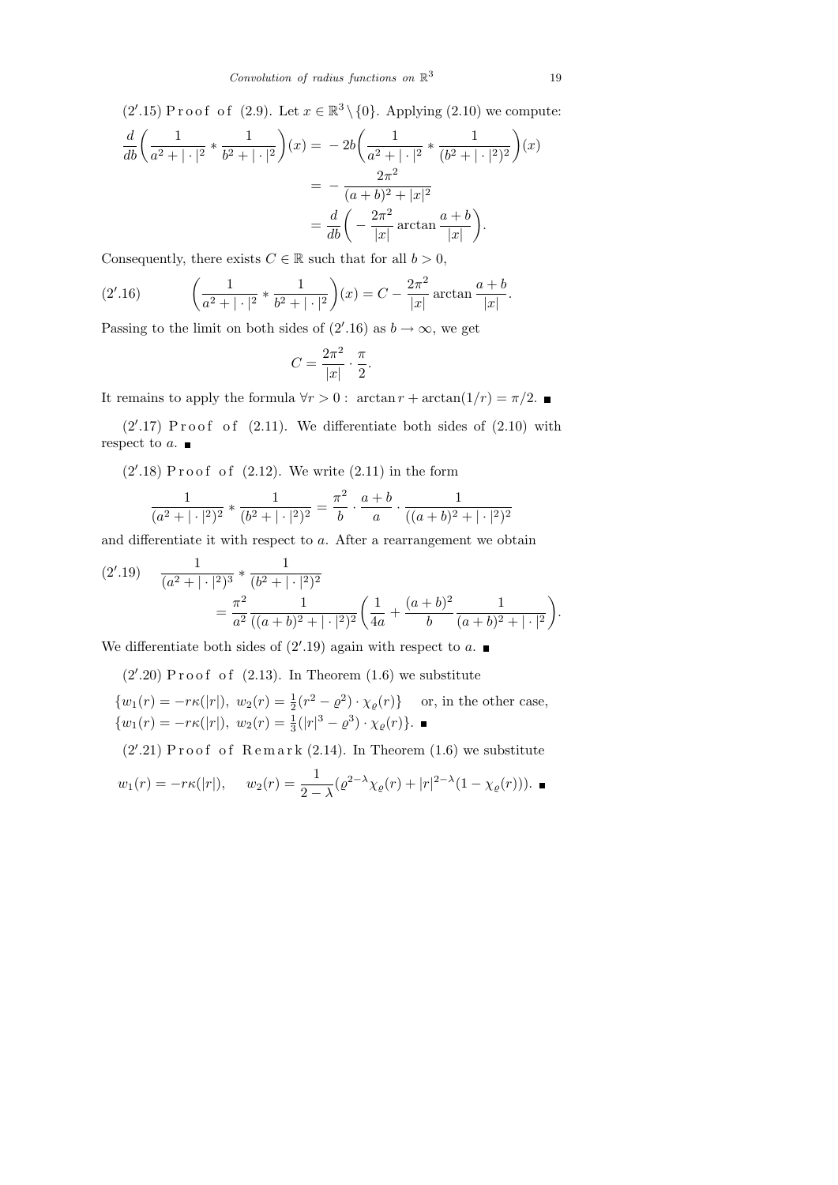$(2'.15)$  Proof of  $(2.9)$ . Let  $x \in \mathbb{R}^3 \setminus \{0\}$ . Applying  $(2.10)$  we compute:  $\frac{d}{db}\bigg(\frac{1}{a^2+1}\bigg)$  $\frac{1}{a^2 + |\cdot|^2} * \frac{1}{b^2 + \dots}$  $b^2 + | \cdot |^2$  $(x) = -2b\left(-\frac{1}{2}\right)$  $\frac{1}{a^2 + |\cdot|^2} * \frac{1}{(b^2 + |\cdot|^2)}$  $(b^2 + |\cdot|^2)^2$  $(x)$  $= - \frac{2\pi^2}{(1+1)^2}$  $(a + b)^2 + |x|^2$  $=\frac{d}{db}\bigg(-\frac{2\pi^2}{|x|}$  $\frac{2\pi^2}{|x|}$  arctan  $\frac{a+b}{|x|}$  $|x|$ .

Consequently, there exists  $C \in \mathbb{R}$  such that for all  $b > 0$ ,

(2'.16) 
$$
\left(\frac{1}{a^2+|\cdot|^2} * \frac{1}{b^2+|\cdot|^2}\right)(x) = C - \frac{2\pi^2}{|x|} \arctan \frac{a+b}{|x|}.
$$

Passing to the limit on both sides of  $(2'.16)$  as  $b \to \infty$ , we get

$$
C = \frac{2\pi^2}{|x|} \cdot \frac{\pi}{2}.
$$

It remains to apply the formula  $∀r > 0$ : arctan  $r + \arctan(1/r) = π/2$ . ■

 $(2'.17)$  Proof of  $(2.11)$ . We differentiate both sides of  $(2.10)$  with respect to  $a$ .

 $(2'.18)$  Proof of  $(2.12)$ . We write  $(2.11)$  in the form

$$
\frac{1}{(a^2 + |\cdot|^2)^2} * \frac{1}{(b^2 + |\cdot|^2)^2} = \frac{\pi^2}{b} \cdot \frac{a+b}{a} \cdot \frac{1}{((a+b)^2 + |\cdot|^2)^2}
$$

and differentiate it with respect to a. After a rearrangement we obtain

$$
(2'.19) \quad \frac{1}{(a^2 + |\cdot|^2)^3} * \frac{1}{(b^2 + |\cdot|^2)^2}
$$

$$
= \frac{\pi^2}{a^2} \frac{1}{((a+b)^2 + |\cdot|^2)^2} \left(\frac{1}{4a} + \frac{(a+b)^2}{b} \frac{1}{(a+b)^2 + |\cdot|^2}\right).
$$

We differentiate both sides of  $(2'.19)$  again with respect to a.

 $(2'.20)$  Proof of  $(2.13)$ . In Theorem  $(1.6)$  we substitute

$$
\{w_1(r) = -r\kappa(|r|), w_2(r) = \frac{1}{2}(r^2 - \rho^2) \cdot \chi_{\rho}(r)\} \text{ or, in the other case,}
$$
  

$$
\{w_1(r) = -r\kappa(|r|), w_2(r) = \frac{1}{3}(|r|^3 - \rho^3) \cdot \chi_{\rho}(r)\}.
$$

 $(2'.21)$  Proof of Remark  $(2.14)$ . In Theorem  $(1.6)$  we substitute

$$
w_1(r) = -r\kappa(|r|),
$$
  $w_2(r) = \frac{1}{2-\lambda}(\varrho^{2-\lambda}\chi_{\varrho}(r) + |r|^{2-\lambda}(1-\chi_{\varrho}(r))).$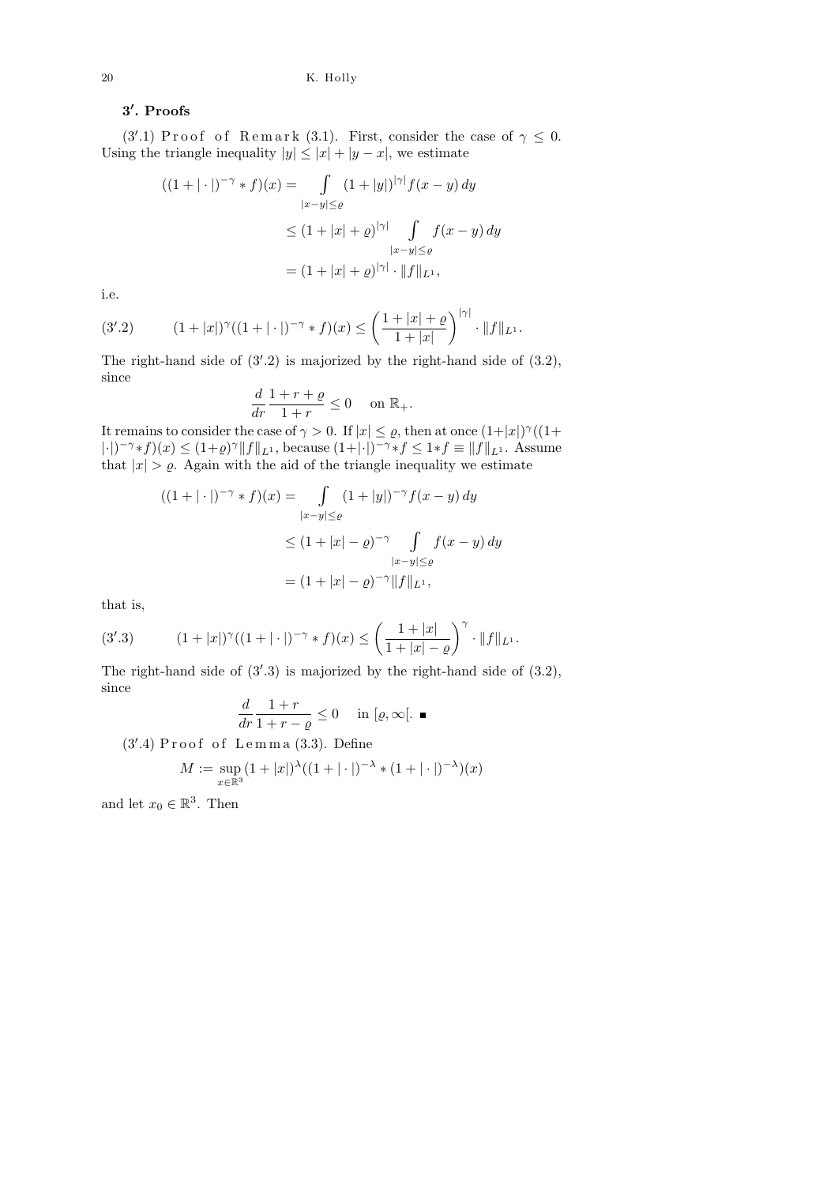## $3'$ . Proofs

(3'.1) Proof of Remark (3.1). First, consider the case of  $\gamma \leq 0$ . Using the triangle inequality  $|y| \leq |x| + |y - x|$ , we estimate

$$
((1+|\cdot|)^{-\gamma} * f)(x) = \int_{|x-y| \le \varrho} (1+|y|)^{|\gamma|} f(x-y) dy
$$
  

$$
\le (1+|x| + \varrho)^{|\gamma|} \int_{|x-y| \le \varrho} f(x-y) dy
$$
  

$$
= (1+|x| + \varrho)^{|\gamma|} \cdot \|f\|_{L^1},
$$

i.e.

(3'.2) 
$$
(1+|x|)^{\gamma}((1+|\cdot|)^{-\gamma}*f)(x) \leq \left(\frac{1+|x|+\varrho}{1+|x|}\right)^{|\gamma|}\cdot \|f\|_{L^{1}}.
$$

The right-hand side of  $(3'.2)$  is majorized by the right-hand side of  $(3.2)$ , since

$$
\frac{d}{dr}\frac{1+r+\varrho}{1+r} \le 0 \quad \text{on } \mathbb{R}_+.
$$

It remains to consider the case of  $\gamma > 0$ . If  $|x| \leq \varrho$ , then at once  $(1+|x|)^{\gamma}((1+$  $|\cdot|^{-\gamma}*f)(x) \leq (1+\varrho)^{\gamma} \|f\|_{L^1}$ , because  $(1+|\cdot|)^{-\gamma}*f \leq 1*f \equiv \|f\|_{L^1}$ . Assume that  $|x| > \varrho$ . Again with the aid of the triangle inequality we estimate

$$
((1+|\cdot|)^{-\gamma} * f)(x) = \int_{|x-y| \le \varrho} (1+|y|)^{-\gamma} f(x-y) dy
$$
  
\n
$$
\le (1+|x|-\varrho)^{-\gamma} \int_{|x-y| \le \varrho} f(x-y) dy
$$
  
\n
$$
= (1+|x|-\varrho)^{-\gamma} ||f||_{L^1},
$$

that is,

(3'.3) 
$$
(1+|x|)^{\gamma}((1+|\cdot|)^{-\gamma}*f)(x) \leq \left(\frac{1+|x|}{1+|x|-\varrho}\right)^{\gamma} \cdot \|f\|_{L^{1}}.
$$

The right-hand side of  $(3'.3)$  is majorized by the right-hand side of  $(3.2)$ , since

$$
\frac{d}{dr}\frac{1+r}{1+r-\varrho}\leq 0 \quad \text{in } [\varrho,\infty[.\ \blacksquare
$$

 $(3'$ .4) Proof of Lemma  $(3.3)$ . Define

$$
M := \sup_{x \in \mathbb{R}^3} (1 + |x|)^{\lambda} ((1 + |\cdot|)^{-\lambda} * (1 + |\cdot|)^{-\lambda})(x)
$$

and let  $x_0 \in \mathbb{R}^3$ . Then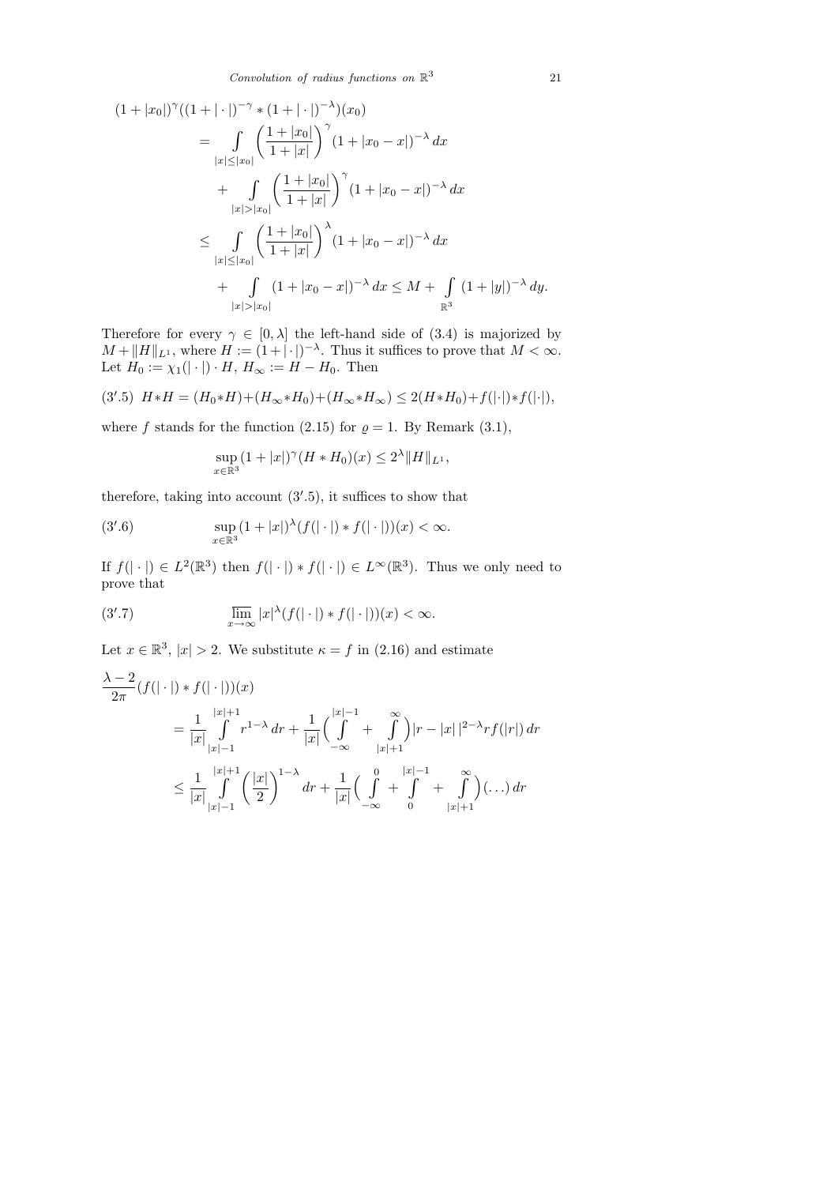$$
(1+|x_0|)^{\gamma}((1+|\cdot|)^{-\gamma} * (1+|\cdot|)^{-\lambda})(x_0)
$$
  
\n
$$
= \int_{|x|\leq |x_0|} \left(\frac{1+|x_0|}{1+|x|}\right)^{\gamma} (1+|x_0-x|)^{-\lambda} dx
$$
  
\n
$$
+ \int_{|x|>|x_0|} \left(\frac{1+|x_0|}{1+|x|}\right)^{\gamma} (1+|x_0-x|)^{-\lambda} dx
$$
  
\n
$$
\leq \int_{|x|\leq |x_0|} \left(\frac{1+|x_0|}{1+|x|}\right)^{\lambda} (1+|x_0-x|)^{-\lambda} dx
$$
  
\n
$$
+ \int_{|x|>|x_0|} (1+|x_0-x|)^{-\lambda} dx \leq M + \int_{\mathbb{R}^3} (1+|y|)^{-\lambda} dy.
$$

Therefore for every  $\gamma \in [0, \lambda]$  the left-hand side of (3.4) is majorized by  $M + ||H||_{L^1}$ , where  $H := (1 + |\cdot|)^{-\lambda}$ . Thus it suffices to prove that  $M < \infty$ . Let  $H_0 := \chi_1(|\cdot|) \cdot H$ ,  $H_{\infty} := H - H_0$ . Then

$$
(3'.5) \ H*H = (H_0*H) + (H_\infty*H_0) + (H_\infty*H_\infty) \le 2(H*H_0) + f(|\cdot|)*f(|\cdot|),
$$

where f stands for the function (2.15) for  $\rho = 1$ . By Remark (3.1),

$$
\sup_{x \in \mathbb{R}^3} (1+|x|)^{\gamma} (H * H_0)(x) \le 2^{\lambda} ||H||_{L^1},
$$

therefore, taking into account  $(3'.5)$ , it suffices to show that

(3'.6) 
$$
\sup_{x \in \mathbb{R}^3} (1 + |x|)^{\lambda} (f(|\cdot|) * f(|\cdot|))(x) < \infty.
$$

If  $f(|\cdot|) \in L^2(\mathbb{R}^3)$  then  $f(|\cdot|) * f(|\cdot|) \in L^\infty(\mathbb{R}^3)$ . Thus we only need to prove that

(3'.7) 
$$
\overline{\lim}_{x \to \infty} |x|^{\lambda} (f(|\cdot|) * f(|\cdot|))(x) < \infty.
$$

Let  $x \in \mathbb{R}^3$ ,  $|x| > 2$ . We substitute  $\kappa = f$  in (2.16) and estimate

$$
\frac{\lambda - 2}{2\pi} (f(|\cdot|) * f(|\cdot|))(x)
$$
\n
$$
= \frac{1}{|x|} \int_{|x|-1}^{|x|+1} r^{1-\lambda} dr + \frac{1}{|x|} \Big( \int_{-\infty}^{|x|-1} + \int_{|x|+1}^{\infty} \Big) |r - |x||^{2-\lambda} rf(|r|) dr
$$
\n
$$
\leq \frac{1}{|x|} \int_{|x|-1}^{|x|+1} \Big( \frac{|x|}{2} \Big)^{1-\lambda} dr + \frac{1}{|x|} \Big( \int_{-\infty}^{0} + \int_{0}^{|x|-1} + \int_{|x|+1}^{\infty} \Big) (\dots) dr
$$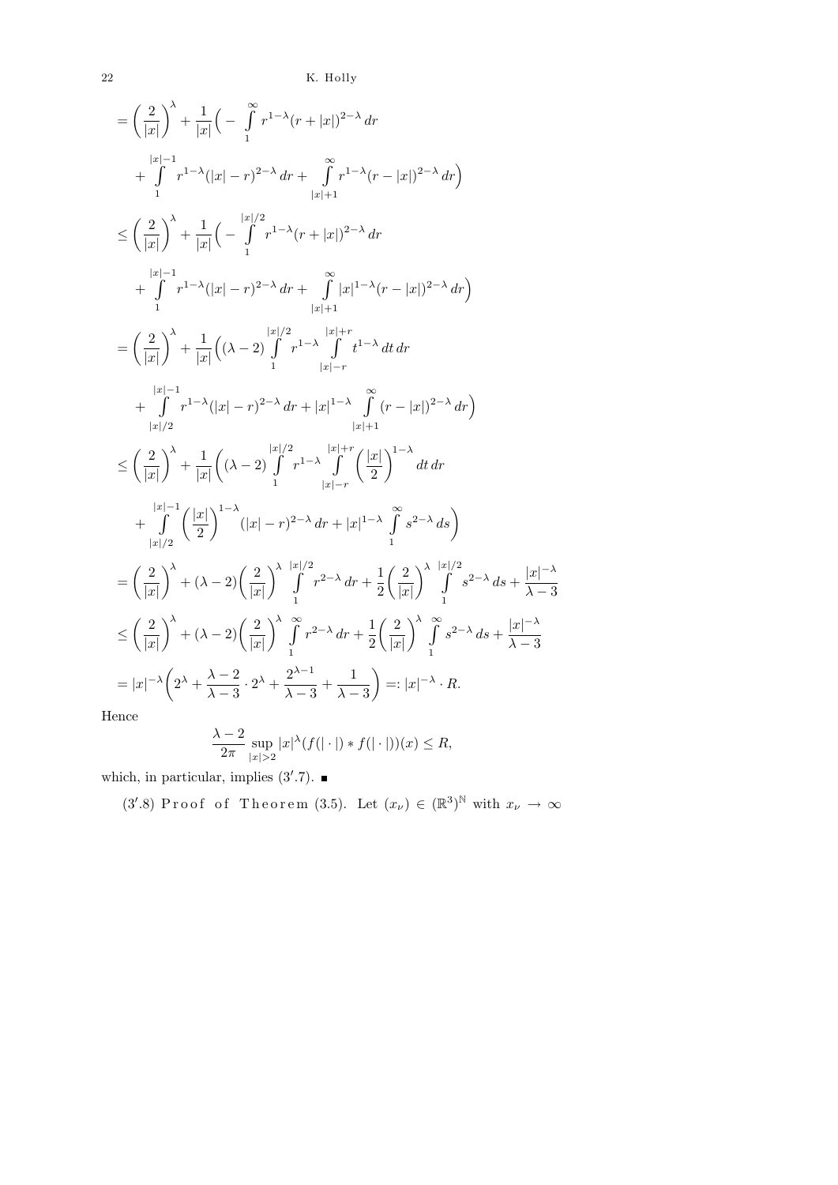$22$   $\,$  K. Holly

$$
\begin{split}\n&= \left(\frac{2}{|x|}\right)^{\lambda} + \frac{1}{|x|} \left(-\int_{1}^{\infty} r^{1-\lambda} (r+|x|)^{2-\lambda} \, dr + \int_{1}^{\infty} r^{1-\lambda} (|x| - r)^{2-\lambda} \, dr + \int_{|x|+1}^{\infty} r^{1-\lambda} (r-|x|)^{2-\lambda} \, dr\right) \\
&\leq \left(\frac{2}{|x|}\right)^{\lambda} + \frac{1}{|x|} \left(-\int_{1}^{|x|/2} r^{1-\lambda} (r+|x|)^{2-\lambda} \, dr + \int_{|x|+1}^{\infty} r^{1-\lambda} (|x| - r)^{2-\lambda} \, dr + \int_{|x|+1}^{\infty} |x|^{1-\lambda} (r-|x|)^{2-\lambda} \, dr\right) \\
&= \left(\frac{2}{|x|}\right)^{\lambda} + \frac{1}{|x|} \left((\lambda - 2) \int_{1}^{|x|/2} r^{1-\lambda} \int_{|x|-r} r^{1-\lambda} \, dt \, dr + \int_{|x|/2}^{\infty} r^{1-\lambda} (|x| - r)^{2-\lambda} \, dr + |x|^{1-\lambda} \int_{|x|-r}^{\infty} (r-|x|)^{2-\lambda} \, dr\right) \\
&\leq \left(\frac{2}{|x|}\right)^{\lambda} + \frac{1}{|x|} \left((\lambda - 2) \int_{1}^{|x|/2} r^{1-\lambda} \int_{|x|+r}^{\infty} (r-|x|)^{2-\lambda} \, dr\right) \\
&\leq \left(\frac{2}{|x|}\right)^{\lambda} + \frac{1}{|x|} \left((\lambda - 2) \int_{1}^{|x|/2} r^{1-\lambda} \int_{1}^{\infty} \left(\frac{|x|}{2}\right)^{1-\lambda} \, dt \, dr + \int_{|x|/2}^{\infty} \left(\frac{|x|}{2}\right)^{1-\lambda} (|x| - r)^{2-\lambda} \, dr + |x|^{1-\lambda} \int_{1}^{\infty} s^{2-\lambda} \, ds\right) \\
&= \left(\frac{2}{|x|}\right)^{\lambda} + (\lambda - 2) \left(\frac{2}{|x|}\right)^{\lambda} \int_{1}^{\infty} r^{2-\lambda} \, dr + \frac{1
$$

Hence

$$
\frac{\lambda-2}{2\pi}\sup_{|x|>2}|x|^{\lambda}(f(|\cdot|)*f(|\cdot|))(x)\leq R,
$$

which, in particular, implies  $(3'.7)$ .

(3'.8) Proof of Theorem (3.5). Let  $(x_\nu) \in (\mathbb{R}^3)^{\mathbb{N}}$  with  $x_\nu \to \infty$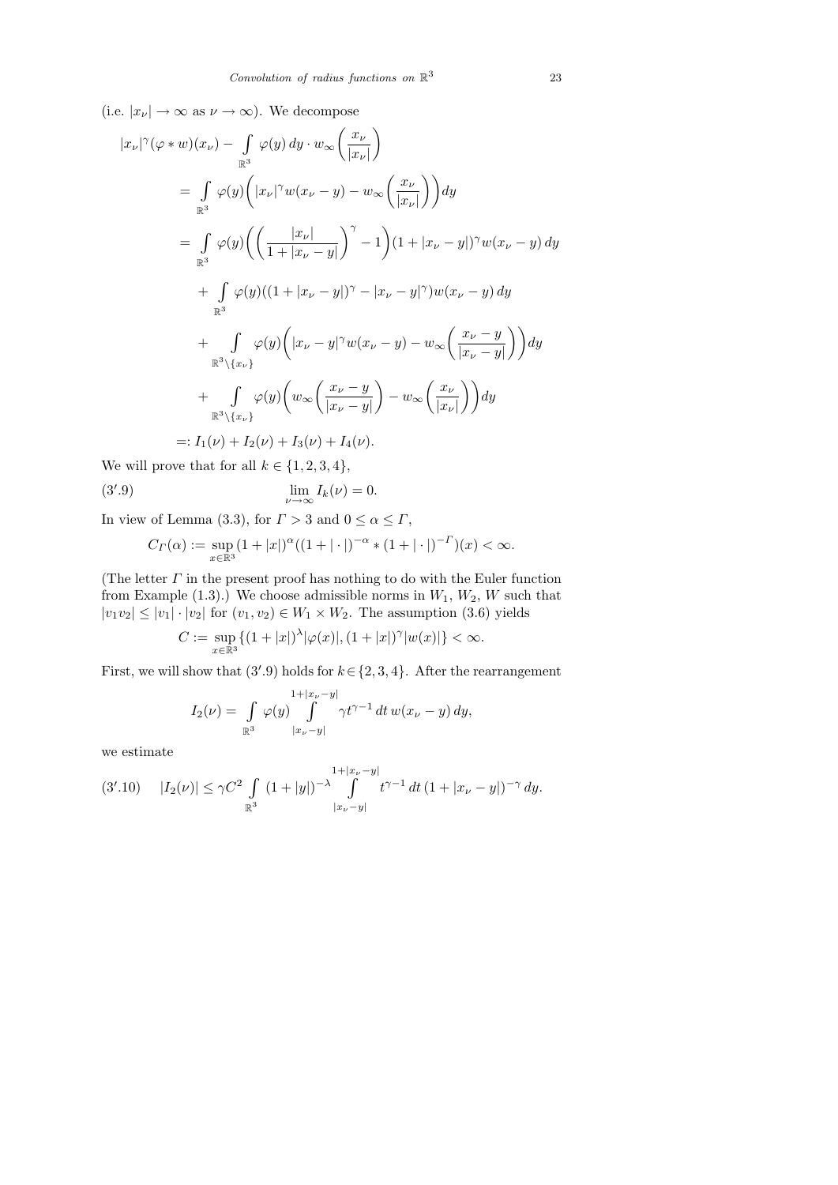$\lambda$ 

(i.e.  $|x_{\nu}| \to \infty$  as  $\nu \to \infty$ ). We decompose

$$
|x_{\nu}|^{\gamma}(\varphi * w)(x_{\nu}) - \int_{\mathbb{R}^{3}} \varphi(y) dy \cdot w_{\infty} \left(\frac{x_{\nu}}{|x_{\nu}|}\right)
$$
  
\n
$$
= \int_{\mathbb{R}^{3}} \varphi(y) \left(|x_{\nu}|^{\gamma} w(x_{\nu} - y) - w_{\infty} \left(\frac{x_{\nu}}{|x_{\nu}|}\right)\right) dy
$$
  
\n
$$
= \int_{\mathbb{R}^{3}} \varphi(y) \left(\left(\frac{|x_{\nu}|}{1 + |x_{\nu} - y|}\right)^{\gamma} - 1\right) (1 + |x_{\nu} - y|)^{\gamma} w(x_{\nu} - y) dy
$$
  
\n
$$
+ \int_{\mathbb{R}^{3}} \varphi(y) ((1 + |x_{\nu} - y|)^{\gamma} - |x_{\nu} - y|^{\gamma}) w(x_{\nu} - y) dy
$$
  
\n
$$
+ \int_{\mathbb{R}^{3} \setminus \{x_{\nu}\}} \varphi(y) \left(|x_{\nu} - y|^{\gamma} w(x_{\nu} - y) - w_{\infty} \left(\frac{x_{\nu} - y}{|x_{\nu} - y|}\right)\right) dy
$$
  
\n
$$
+ \int_{\mathbb{R}^{3} \setminus \{x_{\nu}\}} \varphi(y) \left(w_{\infty} \left(\frac{x_{\nu} - y}{|x_{\nu} - y|}\right) - w_{\infty} \left(\frac{x_{\nu}}{|x_{\nu}|}\right)\right) dy
$$
  
\n
$$
=: I_{1}(\nu) + I_{2}(\nu) + I_{3}(\nu) + I_{4}(\nu).
$$

We will prove that for all  $k \in \{1, 2, 3, 4\}$ ,

(3'.9) 
$$
\lim_{\nu \to \infty} I_k(\nu) = 0.
$$

In view of Lemma (3.3), for  $\Gamma > 3$  and  $0 \le \alpha \le \Gamma$ ,

$$
C_{\Gamma}(\alpha) := \sup_{x \in \mathbb{R}^3} (1 + |x|)^{\alpha} ((1 + |\cdot|)^{-\alpha} * (1 + |\cdot|)^{-\Gamma})(x) < \infty.
$$

(The letter  $\Gamma$  in the present proof has nothing to do with the Euler function from Example  $(1.3)$ .) We choose admissible norms in  $W_1, W_2, W$  such that  $|v_1v_2| \leq |v_1| \cdot |v_2|$  for  $(v_1, v_2) \in W_1 \times W_2$ . The assumption (3.6) yields

$$
C:=\sup_{x\in\mathbb{R}^3}\{(1+|x|)^\lambda|\varphi(x)|,(1+|x|)^\gamma|w(x)|\}<\infty.
$$

First, we will show that  $(3'.9)$  holds for  $k \in \{2, 3, 4\}$ . After the rearrangement

$$
I_2(\nu) = \int_{\mathbb{R}^3} \varphi(y) \int_{|x_{\nu}-y|}^{1+|x_{\nu}-y|} \gamma t^{\gamma-1} dt w(x_{\nu}-y) dy,
$$

we estimate

$$
(3'.10) \quad |I_2(\nu)| \le \gamma C^2 \int\limits_{\mathbb{R}^3} (1+|y|)^{-\lambda} \int\limits_{|x_{\nu}-y|}^{1+|x_{\nu}-y|} t^{\gamma-1} dt \, (1+|x_{\nu}-y|)^{-\gamma} \, dy.
$$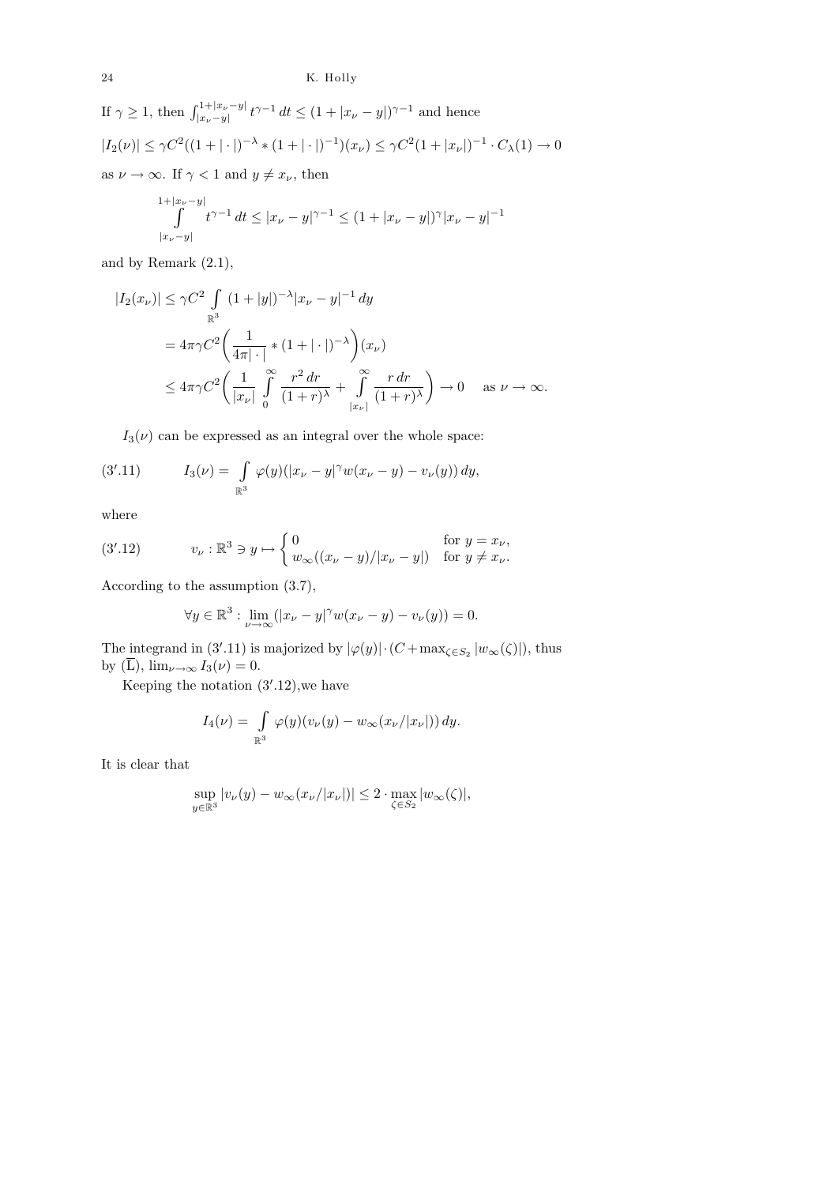If 
$$
\gamma \ge 1
$$
, then  $\int_{|x_{\nu}-y|}^{1+|x_{\nu}-y|} t^{\gamma-1} dt \le (1+|x_{\nu}-y|)^{\gamma-1}$  and hence  
\n $|I_2(\nu)| \le \gamma C^2 ((1+|\cdot|)^{-\lambda} * (1+|\cdot|)^{-1})(x_{\nu}) \le \gamma C^2 (1+|x_{\nu}|)^{-1} \cdot C_{\lambda}(1) \to 0$   
\nas  $\nu \to \infty$ . If  $\gamma < 1$  and  $y \ne x_{\nu}$ , then

$$
\int_{|x_{\nu}-y|}^{1+|x_{\nu}-y|} t^{\gamma-1} dt \le |x_{\nu}-y|^{\gamma-1} \le (1+|x_{\nu}-y|)^{\gamma} |x_{\nu}-y|^{-1}
$$

and by Remark (2.1),

$$
|I_2(x_\nu)| \le \gamma C^2 \int_{\mathbb{R}^3} (1+|y|)^{-\lambda} |x_\nu - y|^{-1} dy
$$
  
=  $4\pi \gamma C^2 \left( \frac{1}{4\pi|\cdot|} * (1+|\cdot|)^{-\lambda} \right) (x_\nu)$   
 $\le 4\pi \gamma C^2 \left( \frac{1}{|x_\nu|} \int_0^\infty \frac{r^2 dr}{(1+r)^\lambda} + \int_{|x_\nu|}^\infty \frac{r dr}{(1+r)^\lambda} \right) \to 0 \quad \text{as } \nu \to \infty.$ 

 $I_3(\nu)$  can be expressed as an integral over the whole space:

(3'.11) 
$$
I_3(\nu) = \int_{\mathbb{R}^3} \varphi(y) (|x_{\nu} - y|^{\gamma} w(x_{\nu} - y) - v_{\nu}(y)) dy,
$$

where

(3'.12) 
$$
v_{\nu} : \mathbb{R}^3 \ni y \mapsto \begin{cases} 0 & \text{for } y = x_{\nu}, \\ w_{\infty}((x_{\nu} - y)/|x_{\nu} - y|) & \text{for } y \neq x_{\nu}. \end{cases}
$$

According to the assumption (3.7),

$$
\forall y \in \mathbb{R}^3 : \lim_{\nu \to \infty} (|x_{\nu} - y|^{\gamma} w(x_{\nu} - y) - v_{\nu}(y)) = 0.
$$

The integrand in (3'.11) is majorized by  $|\varphi(y)| \cdot (C + \max_{\zeta \in S_2} |w_\infty(\zeta)|)$ , thus by  $(\overline{L})$ ,  $\lim_{\nu \to \infty} I_3(\nu) = 0$ .

Keeping the notation  $(3'.12)$ , we have

$$
I_4(\nu) = \int_{\mathbb{R}^3} \varphi(y)(v_{\nu}(y) - w_{\infty}(x_{\nu}/|x_{\nu}|)) dy.
$$

It is clear that

$$
\sup_{y \in \mathbb{R}^3} |v_{\nu}(y) - w_{\infty}(x_{\nu}/|x_{\nu}|)| \le 2 \cdot \max_{\zeta \in S_2} |w_{\infty}(\zeta)|,
$$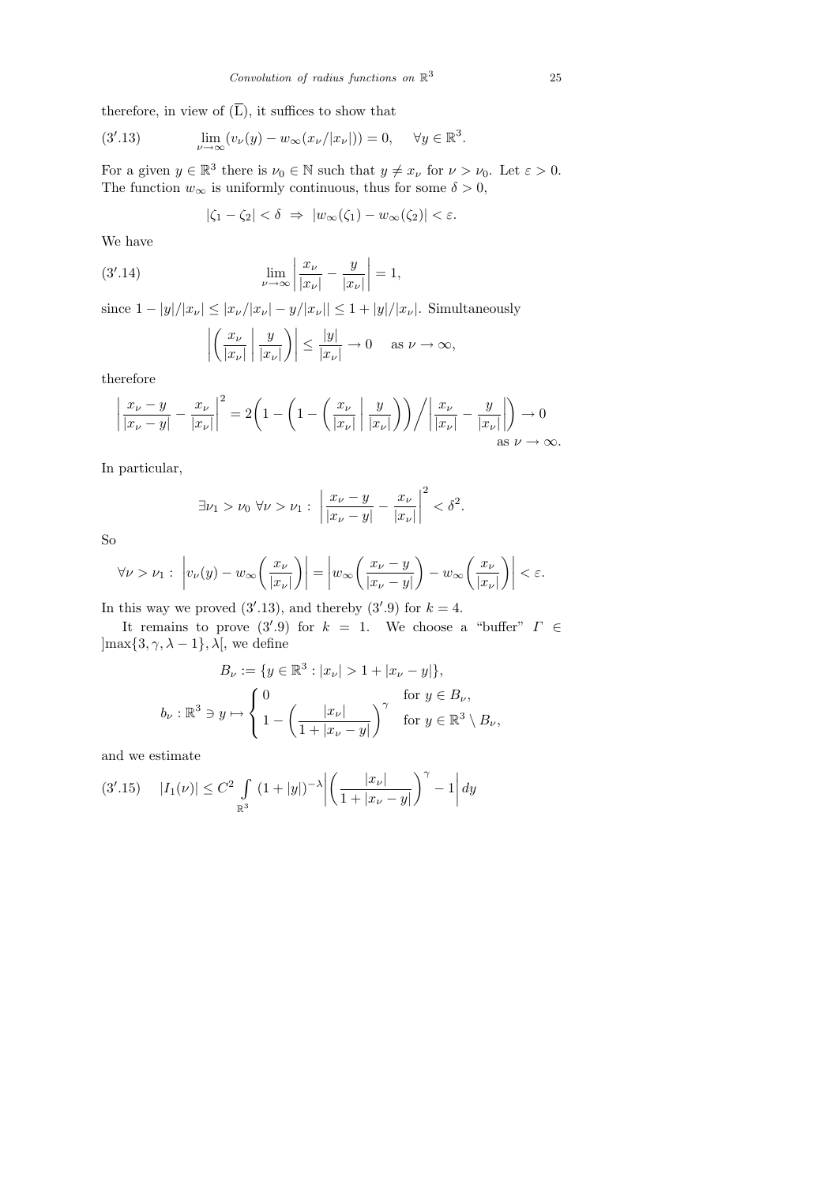therefore, in view of  $(\overline{L})$ , it suffices to show that

(3'.13) 
$$
\lim_{\nu \to \infty} (v_{\nu}(y) - w_{\infty}(x_{\nu}/|x_{\nu}|)) = 0, \quad \forall y \in \mathbb{R}^{3}.
$$

For a given  $y \in \mathbb{R}^3$  there is  $\nu_0 \in \mathbb{N}$  such that  $y \neq x_{\nu}$  for  $\nu > \nu_0$ . Let  $\varepsilon > 0$ . The function  $w_{\infty}$  is uniformly continuous, thus for some  $\delta > 0$ ,

$$
|\zeta_1 - \zeta_2| < \delta \Rightarrow |w_\infty(\zeta_1) - w_\infty(\zeta_2)| < \varepsilon.
$$

We have

(3'.14) 
$$
\lim_{\nu \to \infty} \left| \frac{x_{\nu}}{|x_{\nu}|} - \frac{y}{|x_{\nu}|} \right| = 1,
$$

since  $1 - |y|/|x_{\nu}| \le |x_{\nu}/|x_{\nu}| - y/|x_{\nu}|| \le 1 + |y|/|x_{\nu}|$ . Simultaneously

$$
\left| \left( \frac{x_{\nu}}{|x_{\nu}|} \middle| \frac{y}{|x_{\nu}|} \right) \right| \le \frac{|y|}{|x_{\nu}|} \to 0 \quad \text{as } \nu \to \infty,
$$

therefore

$$
\left|\frac{x_{\nu}-y}{|x_{\nu}-y|} - \frac{x_{\nu}}{|x_{\nu}|}\right|^2 = 2\left(1 - \left(1 - \left(\frac{x_{\nu}}{|x_{\nu}|}\left|\frac{y}{|x_{\nu}|}\right)\right)\right) / \left|\frac{x_{\nu}}{|x_{\nu}|} - \frac{y}{|x_{\nu}|}\right|\right) \to 0
$$
  
as  $\nu \to \infty$ .

In particular,

$$
\exists \nu_1 > \nu_0 \,\,\forall \nu > \nu_1 : \,\,\left| \frac{x_{\nu} - y}{|x_{\nu} - y|} - \frac{x_{\nu}}{|x_{\nu}|} \right|^2 < \delta^2.
$$

So

$$
\forall \nu > \nu_1 : \left| v_{\nu}(y) - w_{\infty}\left(\frac{x_{\nu}}{|x_{\nu}|}\right) \right| = \left| w_{\infty}\left(\frac{x_{\nu} - y}{|x_{\nu} - y|}\right) - w_{\infty}\left(\frac{x_{\nu}}{|x_{\nu}|}\right) \right| < \varepsilon.
$$

In this way we proved  $(3'.13)$ , and thereby  $(3'.9)$  for  $k = 4$ .

It remains to prove (3'.9) for  $k = 1$ . We choose a "buffer"  $\Gamma \in$  $\max\{3, \gamma, \lambda - 1\}, \lambda$ , we define

$$
B_{\nu} := \{ y \in \mathbb{R}^3 : |x_{\nu}| > 1 + |x_{\nu} - y| \},
$$
  

$$
b_{\nu} : \mathbb{R}^3 \ni y \mapsto \begin{cases} 0 & \text{for } y \in B_{\nu}, \\ 1 - \left( \frac{|x_{\nu}|}{1 + |x_{\nu} - y|} \right)^{\gamma} & \text{for } y \in \mathbb{R}^3 \setminus B_{\nu}, \end{cases}
$$

and we estimate

$$
(3'.15) \t |I_1(\nu)| \le C^2 \int_{\mathbb{R}^3} (1+|y|)^{-\lambda} \left| \left( \frac{|x_\nu|}{1+|x_\nu - y|} \right)^\gamma - 1 \right| dy
$$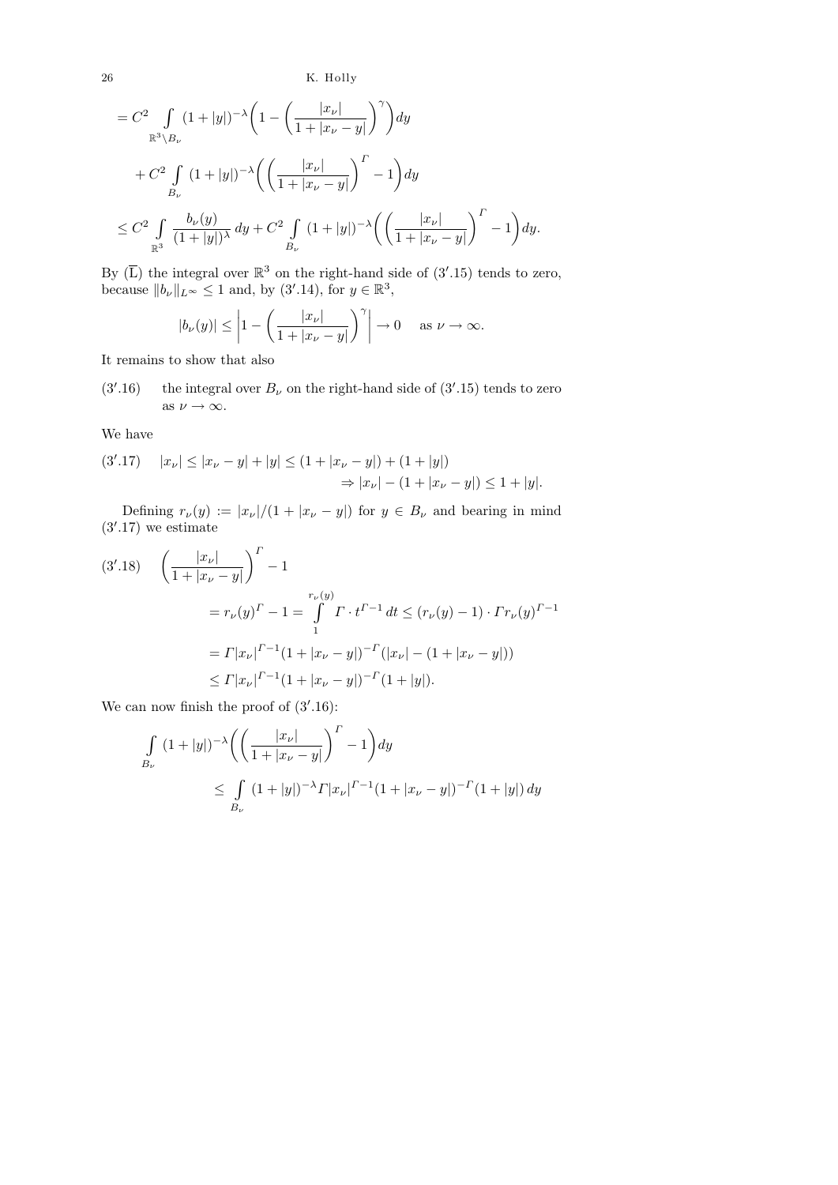26 K. Holly

$$
= C^{2} \int_{\mathbb{R}^{3} \backslash B_{\nu}} (1+|y|)^{-\lambda} \left(1 - \left(\frac{|x_{\nu}|}{1+|x_{\nu} - y|}\right)^{\gamma}\right) dy
$$
  
+  $C^{2} \int_{B_{\nu}} (1+|y|)^{-\lambda} \left(\left(\frac{|x_{\nu}|}{1+|x_{\nu} - y|}\right)^{r} - 1\right) dy$   
 $\leq C^{2} \int_{\mathbb{R}^{3}} \frac{b_{\nu}(y)}{(1+|y|)^{\lambda}} dy + C^{2} \int_{B_{\nu}} (1+|y|)^{-\lambda} \left(\left(\frac{|x_{\nu}|}{1+|x_{\nu} - y|}\right)^{r} - 1\right) dy.$ 

By  $(\overline{L})$  the integral over  $\mathbb{R}^3$  on the right-hand side of  $(3'.15)$  tends to zero, because  $||b_\nu||_{L^\infty} \leq 1$  and, by  $(3'.14)$ , for  $y \in \mathbb{R}^3$ ,

$$
|b_{\nu}(y)| \le \left|1 - \left(\frac{|x_{\nu}|}{1 + |x_{\nu} - y|}\right)^{\gamma}\right| \to 0 \quad \text{as } \nu \to \infty.
$$

It remains to show that also

 $(3^{\prime}.16)$ .16) the integral over  $B_{\nu}$  on the right-hand side of  $(3'.15)$  tends to zero as  $\nu \rightarrow \infty$ .

We have

$$
(3'.17) \quad |x_{\nu}| \le |x_{\nu} - y| + |y| \le (1 + |x_{\nu} - y|) + (1 + |y|)
$$
  

$$
\Rightarrow |x_{\nu}| - (1 + |x_{\nu} - y|) \le 1 + |y|.
$$

Defining  $r_{\nu}(y) := |x_{\nu}|/(1 + |x_{\nu} - y|)$  for  $y \in B_{\nu}$  and bearing in mind  $(3'.17)$  we estimate

$$
(3'.18) \quad \left(\frac{|x_{\nu}|}{1+|x_{\nu}-y|}\right)^{\Gamma} - 1
$$
\n
$$
= r_{\nu}(y)^{\Gamma} - 1 = \int_{1}^{r_{\nu}(y)} \Gamma \cdot t^{\Gamma-1} dt \le (r_{\nu}(y) - 1) \cdot \Gamma r_{\nu}(y)^{\Gamma-1}
$$
\n
$$
= \Gamma |x_{\nu}|^{\Gamma-1} (1 + |x_{\nu} - y|)^{-\Gamma} (|x_{\nu}| - (1 + |x_{\nu} - y|))
$$
\n
$$
\le \Gamma |x_{\nu}|^{\Gamma-1} (1 + |x_{\nu} - y|)^{-\Gamma} (1 + |y|).
$$

We can now finish the proof of  $(3'.16)$ :

$$
\int_{B_{\nu}} (1+|y|)^{-\lambda} \left( \left( \frac{|x_{\nu}|}{1+|x_{\nu}-y|} \right)^{\Gamma} - 1 \right) dy
$$
\n
$$
\leq \int_{B_{\nu}} (1+|y|)^{-\lambda} \Gamma |x_{\nu}|^{\Gamma-1} (1+|x_{\nu}-y|)^{-\Gamma} (1+|y|) dy
$$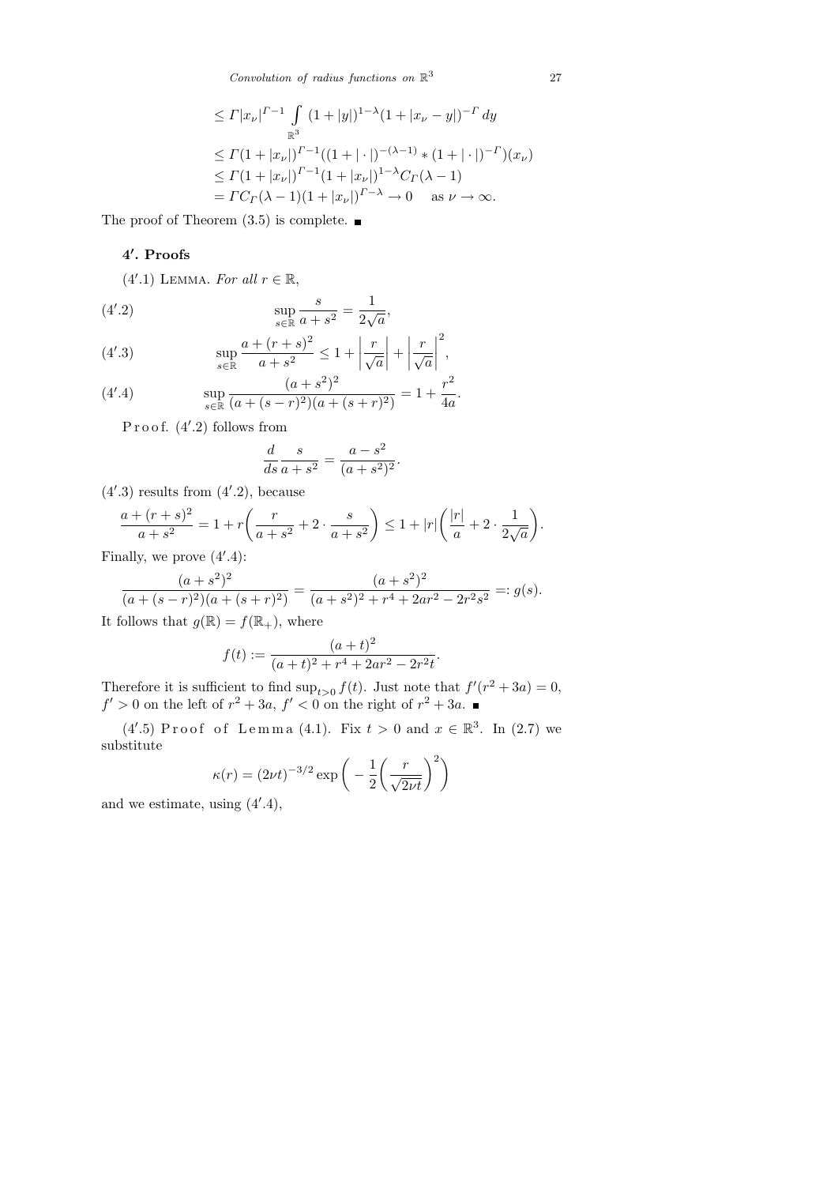*Convolution of radius functions on* R 3

$$
\leq \Gamma |x_{\nu}|^{r-1} \int_{\mathbb{R}^3} (1+|y|)^{1-\lambda} (1+|x_{\nu}-y|)^{-r} dy
$$
  
\n
$$
\leq \Gamma (1+|x_{\nu}|)^{r-1} ((1+|\cdot|)^{-(\lambda-1)} * (1+|\cdot|)^{-r}) (x_{\nu})
$$
  
\n
$$
\leq \Gamma (1+|x_{\nu}|)^{r-1} (1+|x_{\nu}|)^{1-\lambda} C_{\Gamma} (\lambda - 1)
$$
  
\n
$$
= \Gamma C_{\Gamma} (\lambda - 1) (1+|x_{\nu}|)^{r-\lambda} \to 0 \quad \text{as } \nu \to \infty.
$$

The proof of Theorem  $(3.5)$  is complete.

## 4'. Proofs

 $(4'.1)$  LEMMA. For all  $r \in \mathbb{R}$ ,

(4'.2) 
$$
\sup_{s \in \mathbb{R}} \frac{s}{a+s^2} = \frac{1}{2\sqrt{a}},
$$

(4'.3) 
$$
\sup_{s \in \mathbb{R}} \frac{a + (r+s)^2}{a+s^2} \le 1 + \left| \frac{r}{\sqrt{a}} \right| + \left| \frac{r}{\sqrt{a}} \right|^2,
$$

(4'.4) 
$$
\sup_{s \in \mathbb{R}} \frac{(a+s^2)^2}{(a+(s-r)^2)(a+(s+r)^2)} = 1 + \frac{r^2}{4a}.
$$

Proof.  $(4'.2)$  follows from

$$
\frac{d}{ds}\frac{s}{a+s^2} = \frac{a-s^2}{(a+s^2)^2}
$$

.

 $(4'.3)$  results from  $(4'.2)$ , because

$$
\frac{a + (r+s)^2}{a + s^2} = 1 + r \left( \frac{r}{a + s^2} + 2 \cdot \frac{s}{a + s^2} \right) \le 1 + |r| \left( \frac{|r|}{a} + 2 \cdot \frac{1}{2\sqrt{a}} \right).
$$

Finally, we prove  $(4^{\prime}.4)$ :

$$
\frac{(a+s^2)^2}{(a+(s-r)^2)(a+(s+r)^2)} = \frac{(a+s^2)^2}{(a+s^2)^2+r^4+2ar^2-2r^2s^2} =: g(s).
$$

It follows that  $g(\mathbb{R}) = f(\mathbb{R}_+),$  where

$$
f(t) := \frac{(a+t)^2}{(a+t)^2 + r^4 + 2ar^2 - 2r^2t}.
$$

Therefore it is sufficient to find  $\sup_{t>0} f(t)$ . Just note that  $f'(r^2 + 3a) = 0$ ,  $f' > 0$  on the left of  $r^2 + 3a$ ,  $f' < 0$  on the right of  $r^2 + 3a$ .

 $(4'.5)$  Proof of Lemma  $(4.1)$ . Fix  $t > 0$  and  $x \in \mathbb{R}^3$ . In  $(2.7)$  we substitute

$$
\kappa(r) = (2\nu t)^{-3/2} \exp\left(-\frac{1}{2}\left(\frac{r}{\sqrt{2\nu t}}\right)^2\right)
$$

and we estimate, using  $(4^{\prime}.4)$ ,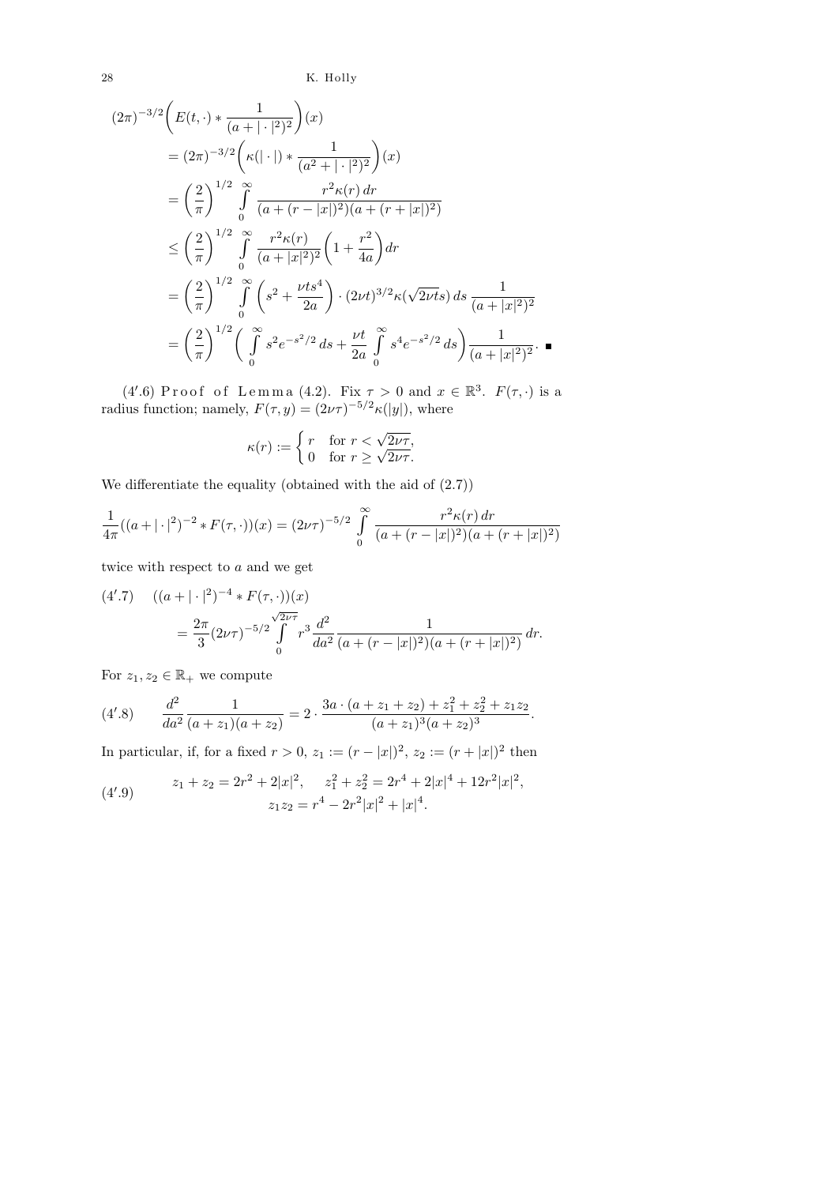28 K. Holly

$$
(2\pi)^{-3/2} \left( E(t, \cdot) * \frac{1}{(a + |\cdot|^2)^2} \right)(x)
$$
  
\n
$$
= (2\pi)^{-3/2} \left( \kappa (|\cdot|) * \frac{1}{(a^2 + |\cdot|^2)^2} \right)(x)
$$
  
\n
$$
= \left( \frac{2}{\pi} \right)^{1/2} \int_{0}^{\infty} \frac{r^2 \kappa(r) dr}{(a + (r - |x|)^2)(a + (r + |x|)^2)}
$$
  
\n
$$
\leq \left( \frac{2}{\pi} \right)^{1/2} \int_{0}^{\infty} \frac{r^2 \kappa(r)}{(a + |x|^2)^2} \left( 1 + \frac{r^2}{4a} \right) dr
$$
  
\n
$$
= \left( \frac{2}{\pi} \right)^{1/2} \int_{0}^{\infty} \left( s^2 + \frac{\nu t s^4}{2a} \right) \cdot (2\nu t)^{3/2} \kappa(\sqrt{2\nu t} s) ds \frac{1}{(a + |x|^2)^2}
$$
  
\n
$$
= \left( \frac{2}{\pi} \right)^{1/2} \left( \int_{0}^{\infty} s^2 e^{-s^2/2} ds + \frac{\nu t}{2a} \int_{0}^{\infty} s^4 e^{-s^2/2} ds \right) \frac{1}{(a + |x|^2)^2}.
$$

(4'.6) Proof of Lemma (4.2). Fix  $\tau > 0$  and  $x \in \mathbb{R}^3$ .  $F(\tau, \cdot)$  is a radius function; namely,  $F(\tau, y) = (2\nu\tau)^{-5/2} \kappa(|y|)$ , where

$$
\kappa(r) := \begin{cases} r & \text{for } r < \sqrt{2\nu\tau}, \\ 0 & \text{for } r \ge \sqrt{2\nu\tau}. \end{cases}
$$

We differentiate the equality (obtained with the aid of (2.7))

$$
\frac{1}{4\pi}((a+|\cdot|^2)^{-2} * F(\tau,\cdot))(x) = (2\nu\tau)^{-5/2} \int_{0}^{\infty} \frac{r^2 \kappa(r) dr}{(a+(r-|x|)^2)(a+(r+|x|)^2)}
$$

twice with respect to a and we get

$$
(4'.7) \quad ((a+|\cdot|^2)^{-4} * F(\tau, \cdot))(x)
$$
  
=  $\frac{2\pi}{3} (2\nu\tau)^{-5/2} \int_{0}^{\sqrt{2\nu\tau}} r^3 \frac{d^2}{da^2} \frac{1}{(a+(r-|x|)^2)(a+(r+|x|)^2)} dr.$ 

For  $z_1, z_2 \in \mathbb{R}_+$  we compute

(4'.8) 
$$
\frac{d^2}{da^2} \frac{1}{(a+z_1)(a+z_2)} = 2 \cdot \frac{3a \cdot (a+z_1+z_2) + z_1^2 + z_2^2 + z_1 z_2}{(a+z_1)^3 (a+z_2)^3}.
$$

In particular, if, for a fixed  $r > 0$ ,  $z_1 := (r - |x|)^2$ ,  $z_2 := (r + |x|)^2$  then

(4'.9) 
$$
z_1 + z_2 = 2r^2 + 2|x|^2, \quad z_1^2 + z_2^2 = 2r^4 + 2|x|^4 + 12r^2|x|^2,
$$

$$
z_1 z_2 = r^4 - 2r^2|x|^2 + |x|^4.
$$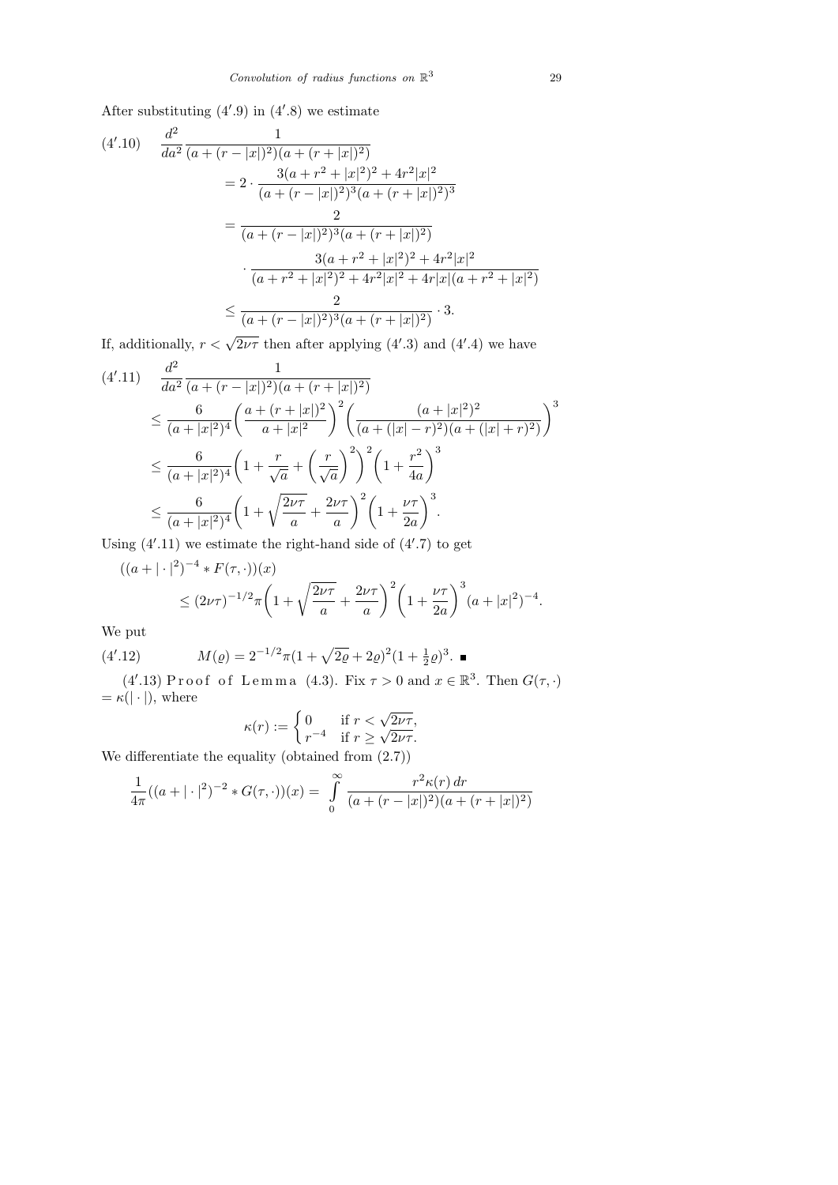After substituting  $(4'.9)$  in  $(4'.8)$  we estimate

$$
(4'.10) \frac{d^2}{da^2} \frac{1}{(a + (r - |x|)^2)(a + (r + |x|)^2)}
$$
  
=  $2 \cdot \frac{3(a + r^2 + |x|^2)^2 + 4r^2|x|^2}{(a + (r - |x|)^2)^3(a + (r + |x|)^2)^3}$   
=  $\frac{2}{(a + (r - |x|)^2)^3(a + (r + |x|)^2)}$   
 $\cdot \frac{3(a + r^2 + |x|^2)^2 + 4r^2|x|^2}{(a + r^2 + |x|^2)^2 + 4r^2|x|^2 + 4r|x|(a + r^2 + |x|^2)}$   
 $\leq \frac{2}{(a + (r - |x|)^2)^3(a + (r + |x|)^2)}$ . 3.

If, additionally,  $r < \sqrt{2\nu\tau}$  then after applying (4'.3) and (4'.4) we have

$$
(4'.11) \frac{d^2}{da^2} \frac{1}{(a + (r - |x|)^2)(a + (r + |x|)^2)}
$$
  
\n
$$
\leq \frac{6}{(a + |x|^2)^4} \left(\frac{a + (r + |x|)^2}{a + |x|^2}\right)^2 \left(\frac{(a + |x|^2)^2}{(a + (|x| - r)^2)(a + (|x| + r)^2)}\right)^3
$$
  
\n
$$
\leq \frac{6}{(a + |x|^2)^4} \left(1 + \frac{r}{\sqrt{a}} + \left(\frac{r}{\sqrt{a}}\right)^2\right)^2 \left(1 + \frac{r^2}{4a}\right)^3
$$
  
\n
$$
\leq \frac{6}{(a + |x|^2)^4} \left(1 + \sqrt{\frac{2\nu\tau}{a}} + \frac{2\nu\tau}{a}\right)^2 \left(1 + \frac{\nu\tau}{2a}\right)^3.
$$

Using  $(4'.11)$  we estimate the right-hand side of  $(4'.7)$  to get

$$
((a+|\cdot|^2)^{-4} * F(\tau, \cdot))(x)
$$
  
\n
$$
\leq (2\nu\tau)^{-1/2}\pi \left(1 + \sqrt{\frac{2\nu\tau}{a}} + \frac{2\nu\tau}{a}\right)^2 \left(1 + \frac{\nu\tau}{2a}\right)^3 (a+|x|^2)^{-4}.
$$

We put

(4'.12) 
$$
M(\varrho) = 2^{-1/2}\pi (1 + \sqrt{2\varrho} + 2\varrho)^2 (1 + \frac{1}{2}\varrho)^3.
$$

(4'.13) Proof of Lemma (4.3). Fix  $\tau > 0$  and  $x \in \mathbb{R}^3$ . Then  $G(\tau, \cdot)$  $= \kappa(|\cdot|),$  where

$$
\kappa(r) := \begin{cases} 0 & \text{if } r < \sqrt{2\nu\tau}, \\ r^{-4} & \text{if } r \ge \sqrt{2\nu\tau}. \end{cases}
$$

We differentiate the equality (obtained from (2.7))

$$
\frac{1}{4\pi}((a+|\cdot|^2)^{-2} * G(\tau,\cdot))(x) = \int_{0}^{\infty} \frac{r^2 \kappa(r) dr}{(a+(r-|x|)^2)(a+(r+|x|)^2)}
$$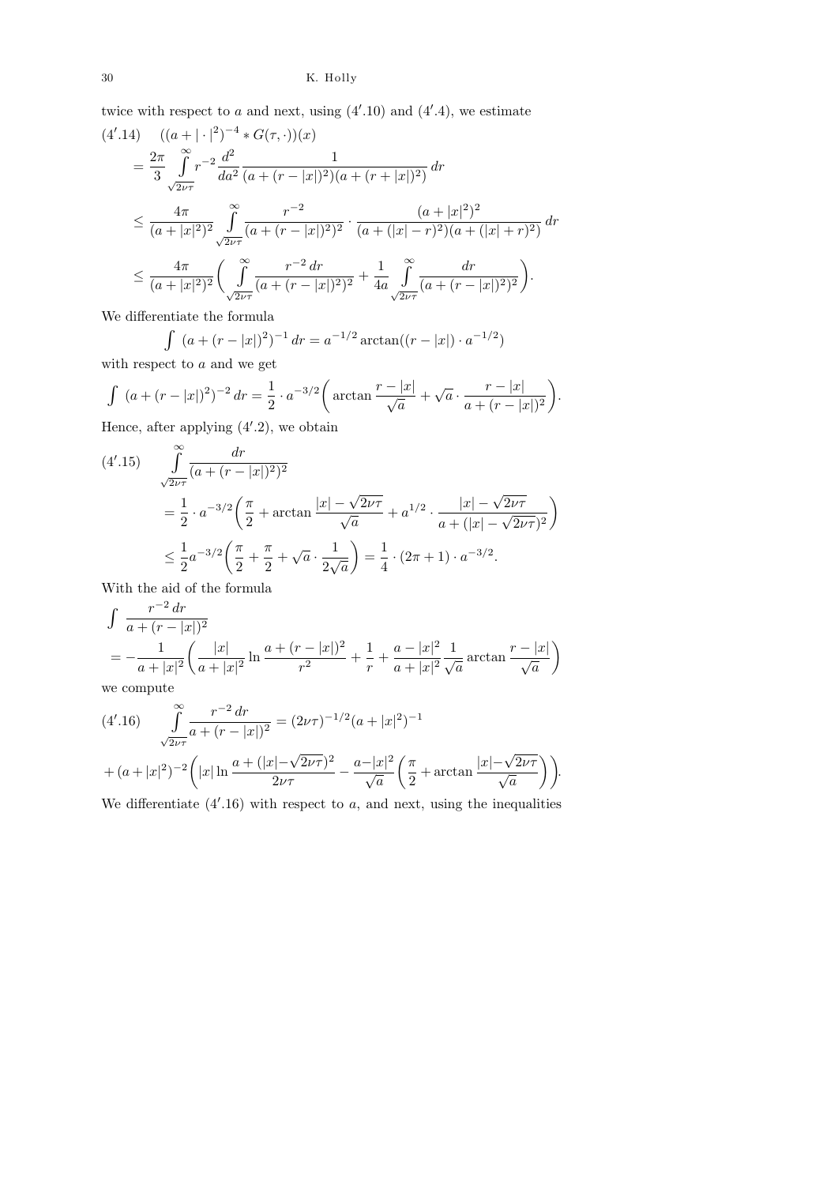twice with respect to a and next, using  $(4'.10)$  and  $(4'.4)$ , we estimate

$$
(4'.14) \quad ((a + |\cdot|^2)^{-4} * G(\tau, \cdot))(x)
$$
  
=  $\frac{2\pi}{3} \int_{\sqrt{2\nu\tau}}^{\infty} r^{-2} \frac{d^2}{da^2} \frac{1}{(a + (r - |x|)^2)(a + (r + |x|)^2)} dr$   

$$
\leq \frac{4\pi}{(a + |x|^2)^2} \int_{\sqrt{2\nu\tau}}^{\infty} \frac{r^{-2}}{(a + (r - |x|)^2)^2} \cdot \frac{(a + |x|^2)^2}{(a + (|x| - r)^2)(a + (|x| + r)^2)} dr
$$
  

$$
\leq \frac{4\pi}{(a + |x|^2)^2} \left( \int_{\sqrt{2\nu\tau}}^{\infty} \frac{r^{-2} dr}{(a + (r - |x|)^2)^2} + \frac{1}{4a} \int_{\sqrt{2\nu\tau}}^{\infty} \frac{dr}{(a + (r - |x|)^2)^2} \right).
$$

We differentiate the formula

$$
\int (a + (r - |x|)^2)^{-1} dr = a^{-1/2} \arctan((r - |x|) \cdot a^{-1/2})
$$

with respect to  $a$  and we get

$$
\int (a + (r - |x|)^2)^{-2} dr = \frac{1}{2} \cdot a^{-3/2} \left( \arctan \frac{r - |x|}{\sqrt{a}} + \sqrt{a} \cdot \frac{r - |x|}{a + (r - |x|)^2} \right).
$$

Hence, after applying  $(4'.2)$ , we obtain

$$
(4'.15) \quad \int_{\sqrt{2\nu\tau}}^{\infty} \frac{dr}{(a + (r - |x|)^2)^2}
$$
  
=  $\frac{1}{2} \cdot a^{-3/2} \left( \frac{\pi}{2} + \arctan \frac{|x| - \sqrt{2\nu\tau}}{\sqrt{a}} + a^{1/2} \cdot \frac{|x| - \sqrt{2\nu\tau}}{a + (|x| - \sqrt{2\nu\tau})^2} \right)$   
 $\leq \frac{1}{2} a^{-3/2} \left( \frac{\pi}{2} + \frac{\pi}{2} + \sqrt{a} \cdot \frac{1}{2\sqrt{a}} \right) = \frac{1}{4} \cdot (2\pi + 1) \cdot a^{-3/2}.$ 

With the aid of the formula

$$
\int \frac{r^{-2} dr}{a + (r - |x|)^2}
$$
\n
$$
= -\frac{1}{a + |x|^2} \left( \frac{|x|}{a + |x|^2} \ln \frac{a + (r - |x|)^2}{r^2} + \frac{1}{r} + \frac{a - |x|^2}{a + |x|^2} \frac{1}{\sqrt{a}} \arctan \frac{r - |x|}{\sqrt{a}} \right)
$$

we compute

$$
(4'.16) \qquad \int_{\sqrt{2\nu\tau}}^{\infty} \frac{r^{-2} dr}{a + (r - |x|)^2} = (2\nu\tau)^{-1/2} (a + |x|^2)^{-1}
$$

$$
+ (a + |x|^2)^{-2} \left( |x| \ln \frac{a + (|x| - \sqrt{2\nu\tau})^2}{2\nu\tau} - \frac{a - |x|^2}{\sqrt{a}} \left( \frac{\pi}{2} + \arctan \frac{|x| - \sqrt{2\nu\tau}}{\sqrt{a}} \right) \right).
$$

We differentiate  $(4'.16)$  with respect to a, and next, using the inequalities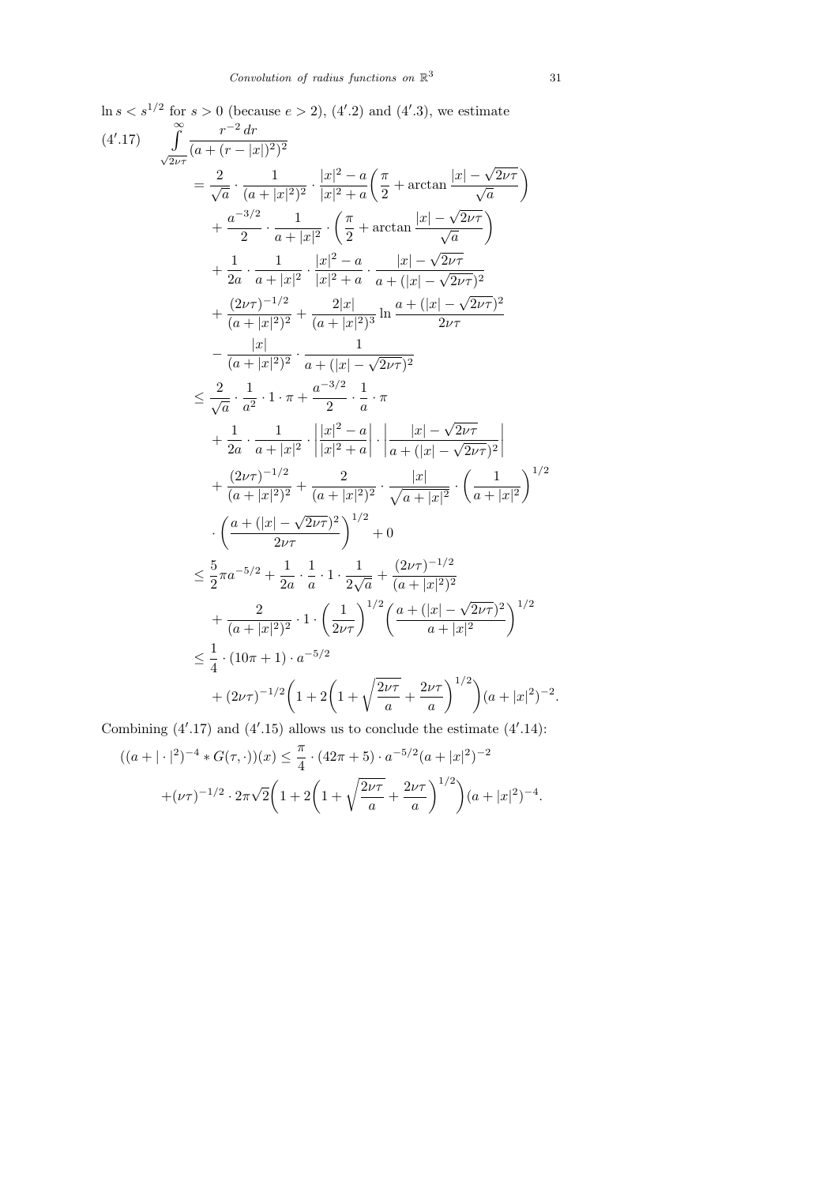$\ln s < s^{1/2}$  for  $s > 0$  (because  $e > 2$ ), (4'.2) and (4'.3), we estimate

$$
(4'.17) \int_{\sqrt{2\nu\tau}}^{\infty} \frac{r^{-2} dr}{(a + (r - |x|)^2)^2}
$$
  
\n
$$
= \frac{2}{\sqrt{a}} \cdot \frac{1}{(a + |x|^2)^2} \cdot \frac{|x|^2 - a}{|x|^2 + a} \left( \frac{\pi}{2} + \arctan \frac{|x| - \sqrt{2\nu\tau}}{\sqrt{a}} \right)
$$
  
\n
$$
+ \frac{a^{-3/2}}{2} \cdot \frac{1}{a + |x|^2} \cdot \left( \frac{\pi}{2} + \arctan \frac{|x| - \sqrt{2\nu\tau}}{\sqrt{a}} \right)
$$
  
\n
$$
+ \frac{1}{2a} \cdot \frac{1}{a + |x|^2} \cdot \frac{|x|^2 - a}{|x|^2 + a} \cdot \frac{|x| - \sqrt{2\nu\tau}}{a + (|x| - \sqrt{2\nu\tau})^2}
$$
  
\n
$$
+ \frac{(2\nu\tau)^{-1/2}}{(a + |x|^2)^2} + \frac{2|x|}{(a + |x|^2)^3} \ln \frac{a + (|x| - \sqrt{2\nu\tau})^2}{2\nu\tau}
$$
  
\n
$$
- \frac{|x|}{(a + |x|^2)^2} \cdot \frac{1}{a + (|x| - \sqrt{2\nu\tau})^2}
$$
  
\n
$$
\leq \frac{2}{\sqrt{a}} \cdot \frac{1}{a^2} \cdot 1 \cdot \pi + \frac{a^{-3/2}}{2} \cdot \frac{1}{a} \cdot \pi
$$
  
\n
$$
+ \frac{1}{2a} \cdot \frac{1}{a + |x|^2} \cdot \left| \frac{|x|^2 - a}{|x|^2 + a} \right| \cdot \left| \frac{|x| - \sqrt{2\nu\tau}}{a + (|x| - \sqrt{2\nu\tau})^2} \right|
$$
  
\n
$$
+ \frac{(2\nu\tau)^{-1/2}}{(a + |x|^2)^2} + \frac{2}{(a + |x|^2)^2} \cdot \frac{|x|}{\sqrt{a + |x|^2}} \cdot \left( \frac{1}{a + |x|^2} \right)^{1/2}
$$
  
\n
$$
\cdot \left( \frac{a + (|x| - \sqrt{2\nu\tau})^2}{2\nu\tau} \right)^{1
$$

Combining  $(4'.17)$  and  $(4'.15)$  allows us to conclude the estimate  $(4'.14)$ :

$$
((a+|\cdot|^2)^{-4} * G(\tau, \cdot))(x) \leq \frac{\pi}{4} \cdot (42\pi + 5) \cdot a^{-5/2} (a+|x|^2)^{-2}
$$

$$
+ (\nu\tau)^{-1/2} \cdot 2\pi \sqrt{2} \left(1 + 2\left(1 + \sqrt{\frac{2\nu\tau}{a}} + \frac{2\nu\tau}{a}\right)^{1/2}\right) (a+|x|^2)^{-4}.
$$